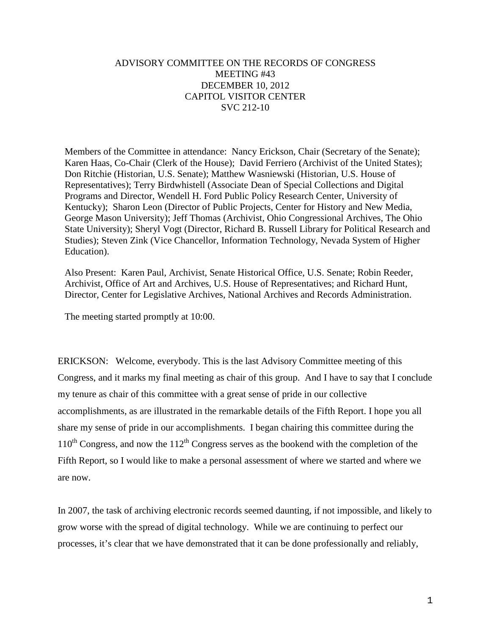# ADVISORY COMMITTEE ON THE RECORDS OF CONGRESS MEETING #43 DECEMBER 10, 2012 CAPITOL VISITOR CENTER SVC 212-10

Members of the Committee in attendance: Nancy Erickson, Chair (Secretary of the Senate); Karen Haas, Co-Chair (Clerk of the House); David Ferriero (Archivist of the United States); Don Ritchie (Historian, U.S. Senate); Matthew Wasniewski (Historian, U.S. House of Representatives); Terry Birdwhistell (Associate Dean of Special Collections and Digital Programs and Director, Wendell H. Ford Public Policy Research Center, University of Kentucky); Sharon Leon (Director of Public Projects, Center for History and New Media, George Mason University); Jeff Thomas (Archivist, Ohio Congressional Archives, The Ohio State University); Sheryl Vogt (Director, Richard B. Russell Library for Political Research and Studies); Steven Zink (Vice Chancellor, Information Technology, Nevada System of Higher Education).

Also Present: Karen Paul, Archivist, Senate Historical Office, U.S. Senate; Robin Reeder, Archivist, Office of Art and Archives, U.S. House of Representatives; and Richard Hunt, Director, Center for Legislative Archives, National Archives and Records Administration.

The meeting started promptly at 10:00.

ERICKSON: Welcome, everybody. This is the last Advisory Committee meeting of this Congress, and it marks my final meeting as chair of this group. And I have to say that I conclude my tenure as chair of this committee with a great sense of pride in our collective accomplishments, as are illustrated in the remarkable details of the Fifth Report. I hope you all share my sense of pride in our accomplishments. I began chairing this committee during the  $110^{th}$  Congress, and now the  $112^{th}$  Congress serves as the bookend with the completion of the Fifth Report, so I would like to make a personal assessment of where we started and where we are now.

In 2007, the task of archiving electronic records seemed daunting, if not impossible, and likely to grow worse with the spread of digital technology. While we are continuing to perfect our processes, it's clear that we have demonstrated that it can be done professionally and reliably,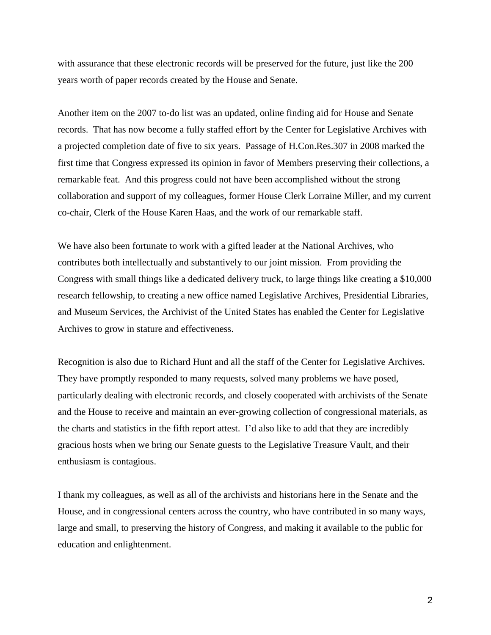with assurance that these electronic records will be preserved for the future, just like the 200 years worth of paper records created by the House and Senate.

Another item on the 2007 to-do list was an updated, online finding aid for House and Senate records. That has now become a fully staffed effort by the Center for Legislative Archives with a projected completion date of five to six years. Passage of H.Con.Res.307 in 2008 marked the first time that Congress expressed its opinion in favor of Members preserving their collections, a remarkable feat. And this progress could not have been accomplished without the strong collaboration and support of my colleagues, former House Clerk Lorraine Miller, and my current co-chair, Clerk of the House Karen Haas, and the work of our remarkable staff.

We have also been fortunate to work with a gifted leader at the National Archives, who contributes both intellectually and substantively to our joint mission. From providing the Congress with small things like a dedicated delivery truck, to large things like creating a \$10,000 research fellowship, to creating a new office named Legislative Archives, Presidential Libraries, and Museum Services, the Archivist of the United States has enabled the Center for Legislative Archives to grow in stature and effectiveness.

Recognition is also due to Richard Hunt and all the staff of the Center for Legislative Archives. They have promptly responded to many requests, solved many problems we have posed, particularly dealing with electronic records, and closely cooperated with archivists of the Senate and the House to receive and maintain an ever-growing collection of congressional materials, as the charts and statistics in the fifth report attest. I'd also like to add that they are incredibly gracious hosts when we bring our Senate guests to the Legislative Treasure Vault, and their enthusiasm is contagious.

I thank my colleagues, as well as all of the archivists and historians here in the Senate and the House, and in congressional centers across the country, who have contributed in so many ways, large and small, to preserving the history of Congress, and making it available to the public for education and enlightenment.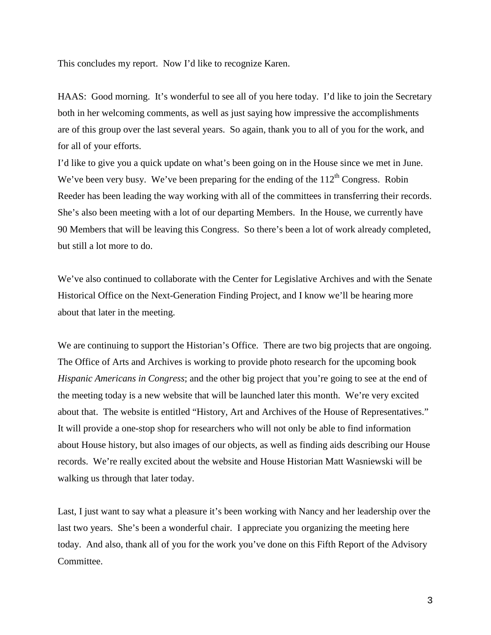This concludes my report. Now I'd like to recognize Karen.

HAAS: Good morning. It's wonderful to see all of you here today. I'd like to join the Secretary both in her welcoming comments, as well as just saying how impressive the accomplishments are of this group over the last several years. So again, thank you to all of you for the work, and for all of your efforts.

I'd like to give you a quick update on what's been going on in the House since we met in June. We've been very busy. We've been preparing for the ending of the  $112<sup>th</sup>$  Congress. Robin Reeder has been leading the way working with all of the committees in transferring their records. She's also been meeting with a lot of our departing Members. In the House, we currently have 90 Members that will be leaving this Congress. So there's been a lot of work already completed, but still a lot more to do.

We've also continued to collaborate with the Center for Legislative Archives and with the Senate Historical Office on the Next-Generation Finding Project, and I know we'll be hearing more about that later in the meeting.

We are continuing to support the Historian's Office. There are two big projects that are ongoing. The Office of Arts and Archives is working to provide photo research for the upcoming book *Hispanic Americans in Congress*; and the other big project that you're going to see at the end of the meeting today is a new website that will be launched later this month. We're very excited about that. The website is entitled "History, Art and Archives of the House of Representatives." It will provide a one-stop shop for researchers who will not only be able to find information about House history, but also images of our objects, as well as finding aids describing our House records. We're really excited about the website and House Historian Matt Wasniewski will be walking us through that later today.

Last, I just want to say what a pleasure it's been working with Nancy and her leadership over the last two years. She's been a wonderful chair. I appreciate you organizing the meeting here today. And also, thank all of you for the work you've done on this Fifth Report of the Advisory Committee.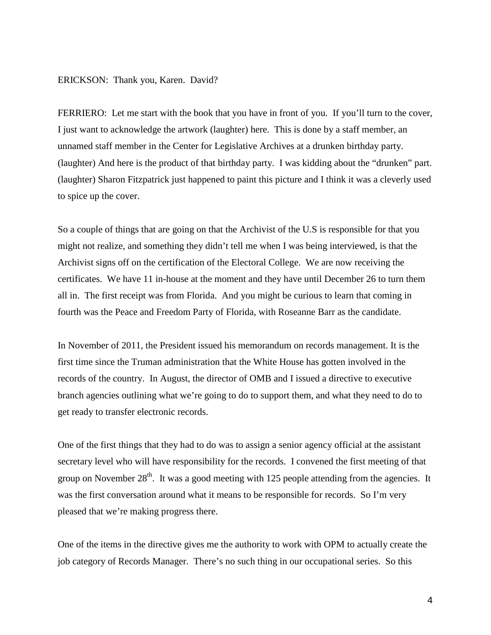#### ERICKSON: Thank you, Karen. David?

FERRIERO: Let me start with the book that you have in front of you. If you'll turn to the cover, I just want to acknowledge the artwork (laughter) here. This is done by a staff member, an unnamed staff member in the Center for Legislative Archives at a drunken birthday party. (laughter) And here is the product of that birthday party. I was kidding about the "drunken" part. (laughter) Sharon Fitzpatrick just happened to paint this picture and I think it was a cleverly used to spice up the cover.

So a couple of things that are going on that the Archivist of the U.S is responsible for that you might not realize, and something they didn't tell me when I was being interviewed, is that the Archivist signs off on the certification of the Electoral College. We are now receiving the certificates. We have 11 in-house at the moment and they have until December 26 to turn them all in. The first receipt was from Florida. And you might be curious to learn that coming in fourth was the Peace and Freedom Party of Florida, with Roseanne Barr as the candidate.

In November of 2011, the President issued his memorandum on records management. It is the first time since the Truman administration that the White House has gotten involved in the records of the country. In August, the director of OMB and I issued a directive to executive branch agencies outlining what we're going to do to support them, and what they need to do to get ready to transfer electronic records.

One of the first things that they had to do was to assign a senior agency official at the assistant secretary level who will have responsibility for the records. I convened the first meeting of that group on November  $28<sup>th</sup>$ . It was a good meeting with 125 people attending from the agencies. It was the first conversation around what it means to be responsible for records. So I'm very pleased that we're making progress there.

One of the items in the directive gives me the authority to work with OPM to actually create the job category of Records Manager. There's no such thing in our occupational series. So this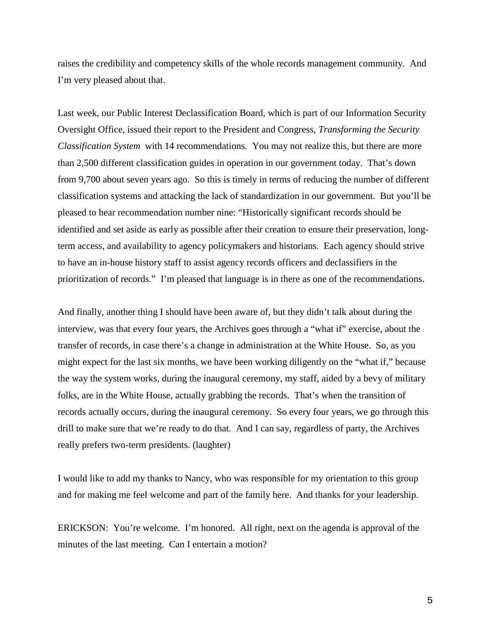raises the credibility and competency skills of the whole records management community. And I'm very pleased about that.

Last week, our Public Interest Declassification Board, which is part of our Information Security Oversight Office, issued their report to the President and Congress, *Transforming the Security Classification System* with 14 recommendations. You may not realize this, but there are more than 2,500 different classification guides in operation in our government today. That's down from 9,700 about seven years ago. So this is timely in terms of reducing the number of different classification systems and attacking the lack of standardization in our government. But you'll be pleased to hear recommendation number nine: "Historically significant records should be identified and set aside as early as possible after their creation to ensure their preservation, longterm access, and availability to agency policymakers and historians. Each agency should strive to have an in-house history staff to assist agency records officers and declassifiers in the prioritization of records." I'm pleased that language is in there as one of the recommendations.

And finally, another thing I should have been aware of, but they didn't talk about during the interview, was that every four years, the Archives goes through a "what if" exercise, about the transfer of records, in case there's a change in administration at the White House. So, as you might expect for the last six months, we have been working diligently on the "what if," because the way the system works, during the inaugural ceremony, my staff, aided by a bevy of military folks, are in the White House, actually grabbing the records. That's when the transition of records actually occurs, during the inaugural ceremony. So every four years, we go through this drill to make sure that we're ready to do that. And I can say, regardless of party, the Archives really prefers two-term presidents. (laughter)

I would like to add my thanks to Nancy, who was responsible for my orientation to this group and for making me feel welcome and part of the family here. And thanks for your leadership.

ERICKSON: You're welcome. I'm honored. All right, next on the agenda is approval of the minutes of the last meeting. Can I entertain a motion?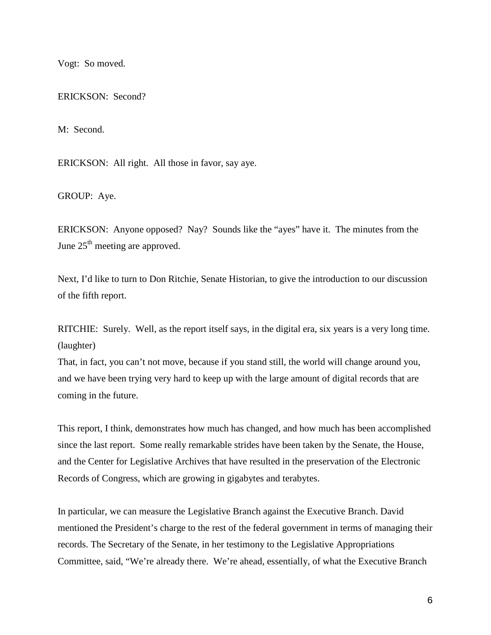Vogt: So moved.

ERICKSON: Second?

M: Second.

ERICKSON: All right. All those in favor, say aye.

GROUP: Aye.

ERICKSON: Anyone opposed? Nay? Sounds like the "ayes" have it. The minutes from the June  $25<sup>th</sup>$  meeting are approved.

Next, I'd like to turn to Don Ritchie, Senate Historian, to give the introduction to our discussion of the fifth report.

RITCHIE: Surely. Well, as the report itself says, in the digital era, six years is a very long time. (laughter)

That, in fact, you can't not move, because if you stand still, the world will change around you, and we have been trying very hard to keep up with the large amount of digital records that are coming in the future.

This report, I think, demonstrates how much has changed, and how much has been accomplished since the last report. Some really remarkable strides have been taken by the Senate, the House, and the Center for Legislative Archives that have resulted in the preservation of the Electronic Records of Congress, which are growing in gigabytes and terabytes.

In particular, we can measure the Legislative Branch against the Executive Branch. David mentioned the President's charge to the rest of the federal government in terms of managing their records. The Secretary of the Senate, in her testimony to the Legislative Appropriations Committee, said, "We're already there. We're ahead, essentially, of what the Executive Branch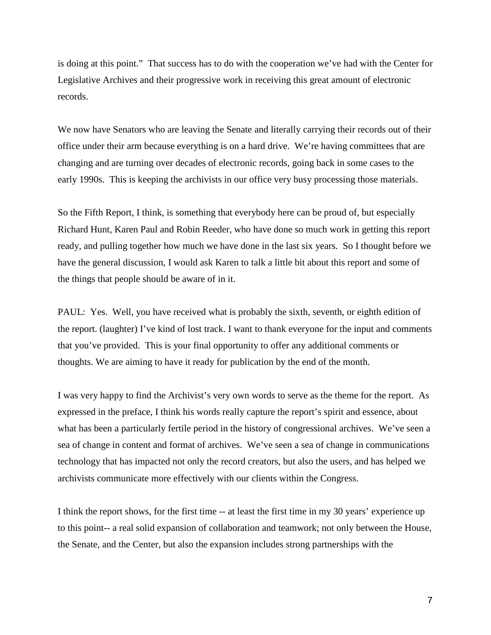is doing at this point." That success has to do with the cooperation we've had with the Center for Legislative Archives and their progressive work in receiving this great amount of electronic records.

We now have Senators who are leaving the Senate and literally carrying their records out of their office under their arm because everything is on a hard drive. We're having committees that are changing and are turning over decades of electronic records, going back in some cases to the early 1990s. This is keeping the archivists in our office very busy processing those materials.

So the Fifth Report, I think, is something that everybody here can be proud of, but especially Richard Hunt, Karen Paul and Robin Reeder, who have done so much work in getting this report ready, and pulling together how much we have done in the last six years. So I thought before we have the general discussion, I would ask Karen to talk a little bit about this report and some of the things that people should be aware of in it.

PAUL: Yes. Well, you have received what is probably the sixth, seventh, or eighth edition of the report. (laughter) I've kind of lost track. I want to thank everyone for the input and comments that you've provided. This is your final opportunity to offer any additional comments or thoughts. We are aiming to have it ready for publication by the end of the month.

I was very happy to find the Archivist's very own words to serve as the theme for the report. As expressed in the preface, I think his words really capture the report's spirit and essence, about what has been a particularly fertile period in the history of congressional archives. We've seen a sea of change in content and format of archives. We've seen a sea of change in communications technology that has impacted not only the record creators, but also the users, and has helped we archivists communicate more effectively with our clients within the Congress.

I think the report shows, for the first time -- at least the first time in my 30 years' experience up to this point-- a real solid expansion of collaboration and teamwork; not only between the House, the Senate, and the Center, but also the expansion includes strong partnerships with the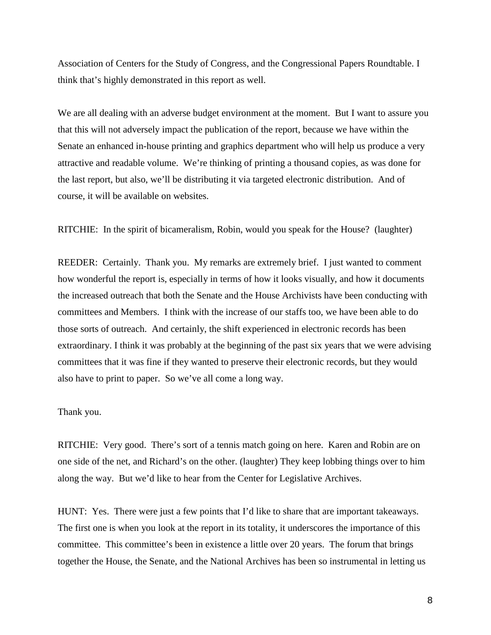Association of Centers for the Study of Congress, and the Congressional Papers Roundtable. I think that's highly demonstrated in this report as well.

We are all dealing with an adverse budget environment at the moment. But I want to assure you that this will not adversely impact the publication of the report, because we have within the Senate an enhanced in-house printing and graphics department who will help us produce a very attractive and readable volume. We're thinking of printing a thousand copies, as was done for the last report, but also, we'll be distributing it via targeted electronic distribution. And of course, it will be available on websites.

RITCHIE: In the spirit of bicameralism, Robin, would you speak for the House? (laughter)

REEDER: Certainly. Thank you. My remarks are extremely brief. I just wanted to comment how wonderful the report is, especially in terms of how it looks visually, and how it documents the increased outreach that both the Senate and the House Archivists have been conducting with committees and Members. I think with the increase of our staffs too, we have been able to do those sorts of outreach. And certainly, the shift experienced in electronic records has been extraordinary. I think it was probably at the beginning of the past six years that we were advising committees that it was fine if they wanted to preserve their electronic records, but they would also have to print to paper. So we've all come a long way.

Thank you.

RITCHIE: Very good. There's sort of a tennis match going on here. Karen and Robin are on one side of the net, and Richard's on the other. (laughter) They keep lobbing things over to him along the way. But we'd like to hear from the Center for Legislative Archives.

HUNT: Yes. There were just a few points that I'd like to share that are important takeaways. The first one is when you look at the report in its totality, it underscores the importance of this committee. This committee's been in existence a little over 20 years. The forum that brings together the House, the Senate, and the National Archives has been so instrumental in letting us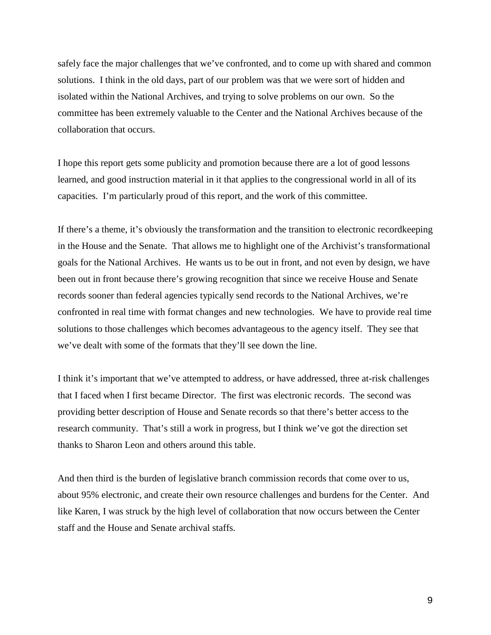safely face the major challenges that we've confronted, and to come up with shared and common solutions. I think in the old days, part of our problem was that we were sort of hidden and isolated within the National Archives, and trying to solve problems on our own. So the committee has been extremely valuable to the Center and the National Archives because of the collaboration that occurs.

I hope this report gets some publicity and promotion because there are a lot of good lessons learned, and good instruction material in it that applies to the congressional world in all of its capacities. I'm particularly proud of this report, and the work of this committee.

If there's a theme, it's obviously the transformation and the transition to electronic recordkeeping in the House and the Senate. That allows me to highlight one of the Archivist's transformational goals for the National Archives. He wants us to be out in front, and not even by design, we have been out in front because there's growing recognition that since we receive House and Senate records sooner than federal agencies typically send records to the National Archives, we're confronted in real time with format changes and new technologies. We have to provide real time solutions to those challenges which becomes advantageous to the agency itself. They see that we've dealt with some of the formats that they'll see down the line.

I think it's important that we've attempted to address, or have addressed, three at-risk challenges that I faced when I first became Director. The first was electronic records. The second was providing better description of House and Senate records so that there's better access to the research community. That's still a work in progress, but I think we've got the direction set thanks to Sharon Leon and others around this table.

And then third is the burden of legislative branch commission records that come over to us, about 95% electronic, and create their own resource challenges and burdens for the Center. And like Karen, I was struck by the high level of collaboration that now occurs between the Center staff and the House and Senate archival staffs.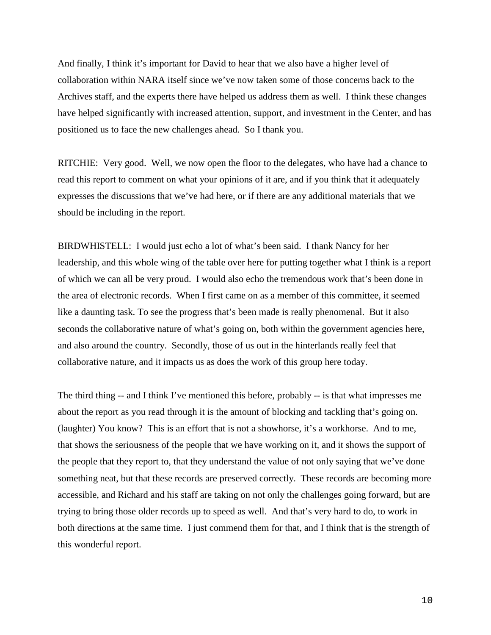And finally, I think it's important for David to hear that we also have a higher level of collaboration within NARA itself since we've now taken some of those concerns back to the Archives staff, and the experts there have helped us address them as well. I think these changes have helped significantly with increased attention, support, and investment in the Center, and has positioned us to face the new challenges ahead. So I thank you.

RITCHIE: Very good. Well, we now open the floor to the delegates, who have had a chance to read this report to comment on what your opinions of it are, and if you think that it adequately expresses the discussions that we've had here, or if there are any additional materials that we should be including in the report.

BIRDWHISTELL: I would just echo a lot of what's been said. I thank Nancy for her leadership, and this whole wing of the table over here for putting together what I think is a report of which we can all be very proud. I would also echo the tremendous work that's been done in the area of electronic records. When I first came on as a member of this committee, it seemed like a daunting task. To see the progress that's been made is really phenomenal. But it also seconds the collaborative nature of what's going on, both within the government agencies here, and also around the country. Secondly, those of us out in the hinterlands really feel that collaborative nature, and it impacts us as does the work of this group here today.

The third thing -- and I think I've mentioned this before, probably -- is that what impresses me about the report as you read through it is the amount of blocking and tackling that's going on. (laughter) You know? This is an effort that is not a showhorse, it's a workhorse. And to me, that shows the seriousness of the people that we have working on it, and it shows the support of the people that they report to, that they understand the value of not only saying that we've done something neat, but that these records are preserved correctly. These records are becoming more accessible, and Richard and his staff are taking on not only the challenges going forward, but are trying to bring those older records up to speed as well. And that's very hard to do, to work in both directions at the same time. I just commend them for that, and I think that is the strength of this wonderful report.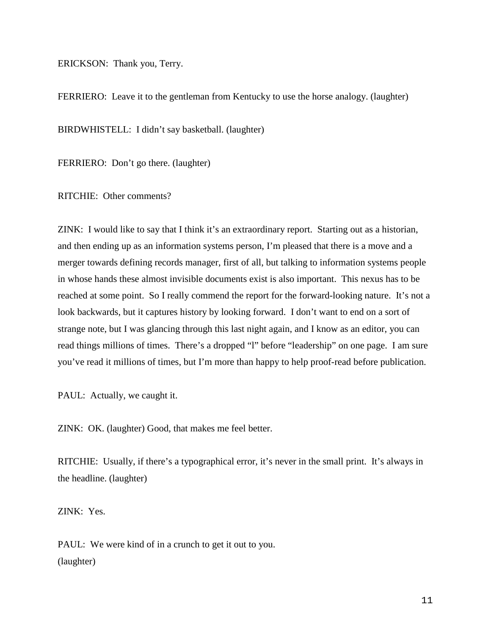ERICKSON: Thank you, Terry.

FERRIERO: Leave it to the gentleman from Kentucky to use the horse analogy. (laughter)

BIRDWHISTELL: I didn't say basketball. (laughter)

FERRIERO: Don't go there. (laughter)

RITCHIE: Other comments?

ZINK: I would like to say that I think it's an extraordinary report. Starting out as a historian, and then ending up as an information systems person, I'm pleased that there is a move and a merger towards defining records manager, first of all, but talking to information systems people in whose hands these almost invisible documents exist is also important. This nexus has to be reached at some point. So I really commend the report for the forward-looking nature. It's not a look backwards, but it captures history by looking forward. I don't want to end on a sort of strange note, but I was glancing through this last night again, and I know as an editor, you can read things millions of times. There's a dropped "l" before "leadership" on one page. I am sure you've read it millions of times, but I'm more than happy to help proof-read before publication.

PAUL: Actually, we caught it.

ZINK: OK. (laughter) Good, that makes me feel better.

RITCHIE: Usually, if there's a typographical error, it's never in the small print. It's always in the headline. (laughter)

ZINK: Yes.

PAUL: We were kind of in a crunch to get it out to you. (laughter)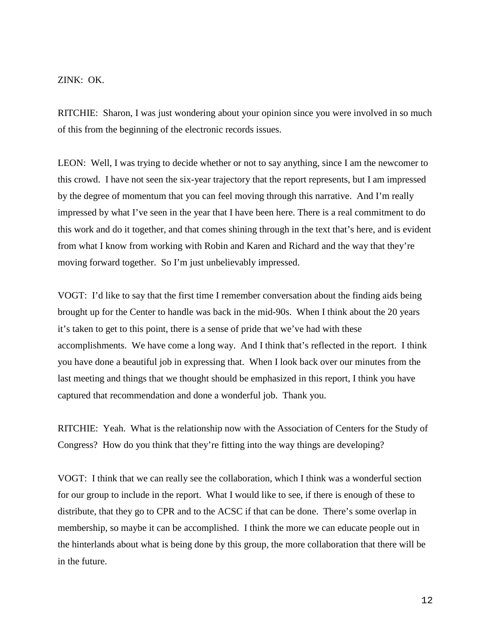## ZINK: OK.

RITCHIE: Sharon, I was just wondering about your opinion since you were involved in so much of this from the beginning of the electronic records issues.

LEON: Well, I was trying to decide whether or not to say anything, since I am the newcomer to this crowd. I have not seen the six-year trajectory that the report represents, but I am impressed by the degree of momentum that you can feel moving through this narrative. And I'm really impressed by what I've seen in the year that I have been here. There is a real commitment to do this work and do it together, and that comes shining through in the text that's here, and is evident from what I know from working with Robin and Karen and Richard and the way that they're moving forward together. So I'm just unbelievably impressed.

VOGT: I'd like to say that the first time I remember conversation about the finding aids being brought up for the Center to handle was back in the mid-90s. When I think about the 20 years it's taken to get to this point, there is a sense of pride that we've had with these accomplishments. We have come a long way. And I think that's reflected in the report. I think you have done a beautiful job in expressing that. When I look back over our minutes from the last meeting and things that we thought should be emphasized in this report, I think you have captured that recommendation and done a wonderful job. Thank you.

RITCHIE: Yeah. What is the relationship now with the Association of Centers for the Study of Congress? How do you think that they're fitting into the way things are developing?

VOGT: I think that we can really see the collaboration, which I think was a wonderful section for our group to include in the report. What I would like to see, if there is enough of these to distribute, that they go to CPR and to the ACSC if that can be done. There's some overlap in membership, so maybe it can be accomplished. I think the more we can educate people out in the hinterlands about what is being done by this group, the more collaboration that there will be in the future.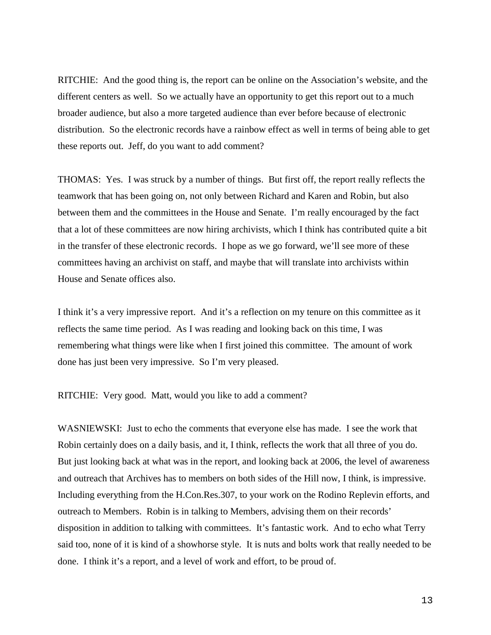RITCHIE: And the good thing is, the report can be online on the Association's website, and the different centers as well. So we actually have an opportunity to get this report out to a much broader audience, but also a more targeted audience than ever before because of electronic distribution. So the electronic records have a rainbow effect as well in terms of being able to get these reports out. Jeff, do you want to add comment?

THOMAS: Yes. I was struck by a number of things. But first off, the report really reflects the teamwork that has been going on, not only between Richard and Karen and Robin, but also between them and the committees in the House and Senate. I'm really encouraged by the fact that a lot of these committees are now hiring archivists, which I think has contributed quite a bit in the transfer of these electronic records. I hope as we go forward, we'll see more of these committees having an archivist on staff, and maybe that will translate into archivists within House and Senate offices also.

I think it's a very impressive report. And it's a reflection on my tenure on this committee as it reflects the same time period. As I was reading and looking back on this time, I was remembering what things were like when I first joined this committee. The amount of work done has just been very impressive. So I'm very pleased.

RITCHIE: Very good. Matt, would you like to add a comment?

WASNIEWSKI: Just to echo the comments that everyone else has made. I see the work that Robin certainly does on a daily basis, and it, I think, reflects the work that all three of you do. But just looking back at what was in the report, and looking back at 2006, the level of awareness and outreach that Archives has to members on both sides of the Hill now, I think, is impressive. Including everything from the H.Con.Res.307, to your work on the Rodino Replevin efforts, and outreach to Members. Robin is in talking to Members, advising them on their records' disposition in addition to talking with committees. It's fantastic work. And to echo what Terry said too, none of it is kind of a showhorse style. It is nuts and bolts work that really needed to be done. I think it's a report, and a level of work and effort, to be proud of.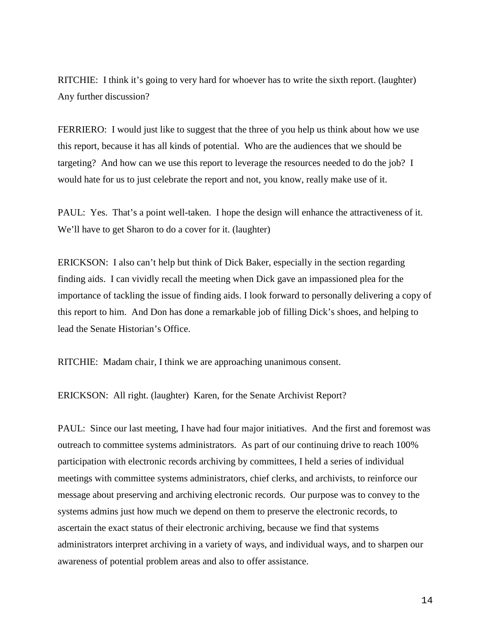RITCHIE: I think it's going to very hard for whoever has to write the sixth report. (laughter) Any further discussion?

FERRIERO: I would just like to suggest that the three of you help us think about how we use this report, because it has all kinds of potential. Who are the audiences that we should be targeting? And how can we use this report to leverage the resources needed to do the job? I would hate for us to just celebrate the report and not, you know, really make use of it.

PAUL: Yes. That's a point well-taken. I hope the design will enhance the attractiveness of it. We'll have to get Sharon to do a cover for it. (laughter)

ERICKSON: I also can't help but think of Dick Baker, especially in the section regarding finding aids. I can vividly recall the meeting when Dick gave an impassioned plea for the importance of tackling the issue of finding aids. I look forward to personally delivering a copy of this report to him. And Don has done a remarkable job of filling Dick's shoes, and helping to lead the Senate Historian's Office.

RITCHIE: Madam chair, I think we are approaching unanimous consent.

ERICKSON: All right. (laughter) Karen, for the Senate Archivist Report?

PAUL: Since our last meeting, I have had four major initiatives. And the first and foremost was outreach to committee systems administrators. As part of our continuing drive to reach 100% participation with electronic records archiving by committees, I held a series of individual meetings with committee systems administrators, chief clerks, and archivists, to reinforce our message about preserving and archiving electronic records. Our purpose was to convey to the systems admins just how much we depend on them to preserve the electronic records, to ascertain the exact status of their electronic archiving, because we find that systems administrators interpret archiving in a variety of ways, and individual ways, and to sharpen our awareness of potential problem areas and also to offer assistance.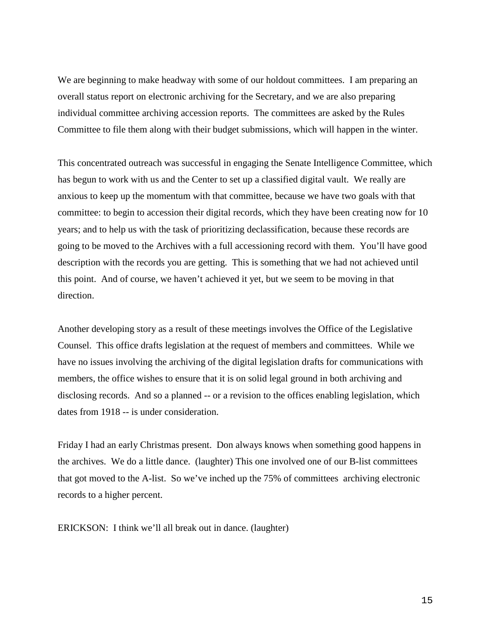We are beginning to make headway with some of our holdout committees. I am preparing an overall status report on electronic archiving for the Secretary, and we are also preparing individual committee archiving accession reports. The committees are asked by the Rules Committee to file them along with their budget submissions, which will happen in the winter.

This concentrated outreach was successful in engaging the Senate Intelligence Committee, which has begun to work with us and the Center to set up a classified digital vault. We really are anxious to keep up the momentum with that committee, because we have two goals with that committee: to begin to accession their digital records, which they have been creating now for 10 years; and to help us with the task of prioritizing declassification, because these records are going to be moved to the Archives with a full accessioning record with them. You'll have good description with the records you are getting. This is something that we had not achieved until this point. And of course, we haven't achieved it yet, but we seem to be moving in that direction.

Another developing story as a result of these meetings involves the Office of the Legislative Counsel. This office drafts legislation at the request of members and committees. While we have no issues involving the archiving of the digital legislation drafts for communications with members, the office wishes to ensure that it is on solid legal ground in both archiving and disclosing records. And so a planned -- or a revision to the offices enabling legislation, which dates from 1918 -- is under consideration.

Friday I had an early Christmas present. Don always knows when something good happens in the archives. We do a little dance. (laughter) This one involved one of our B-list committees that got moved to the A-list. So we've inched up the 75% of committees archiving electronic records to a higher percent.

ERICKSON: I think we'll all break out in dance. (laughter)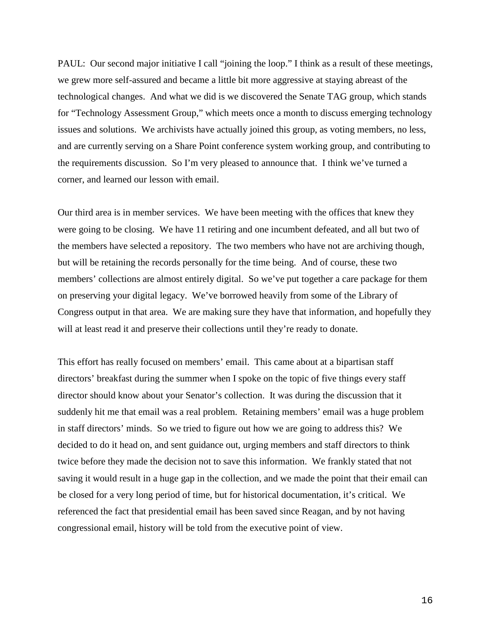PAUL: Our second major initiative I call "joining the loop." I think as a result of these meetings, we grew more self-assured and became a little bit more aggressive at staying abreast of the technological changes. And what we did is we discovered the Senate TAG group, which stands for "Technology Assessment Group," which meets once a month to discuss emerging technology issues and solutions. We archivists have actually joined this group, as voting members, no less, and are currently serving on a Share Point conference system working group, and contributing to the requirements discussion. So I'm very pleased to announce that. I think we've turned a corner, and learned our lesson with email.

Our third area is in member services. We have been meeting with the offices that knew they were going to be closing. We have 11 retiring and one incumbent defeated, and all but two of the members have selected a repository. The two members who have not are archiving though, but will be retaining the records personally for the time being. And of course, these two members' collections are almost entirely digital. So we've put together a care package for them on preserving your digital legacy. We've borrowed heavily from some of the Library of Congress output in that area. We are making sure they have that information, and hopefully they will at least read it and preserve their collections until they're ready to donate.

This effort has really focused on members' email. This came about at a bipartisan staff directors' breakfast during the summer when I spoke on the topic of five things every staff director should know about your Senator's collection. It was during the discussion that it suddenly hit me that email was a real problem. Retaining members' email was a huge problem in staff directors' minds. So we tried to figure out how we are going to address this? We decided to do it head on, and sent guidance out, urging members and staff directors to think twice before they made the decision not to save this information. We frankly stated that not saving it would result in a huge gap in the collection, and we made the point that their email can be closed for a very long period of time, but for historical documentation, it's critical. We referenced the fact that presidential email has been saved since Reagan, and by not having congressional email, history will be told from the executive point of view.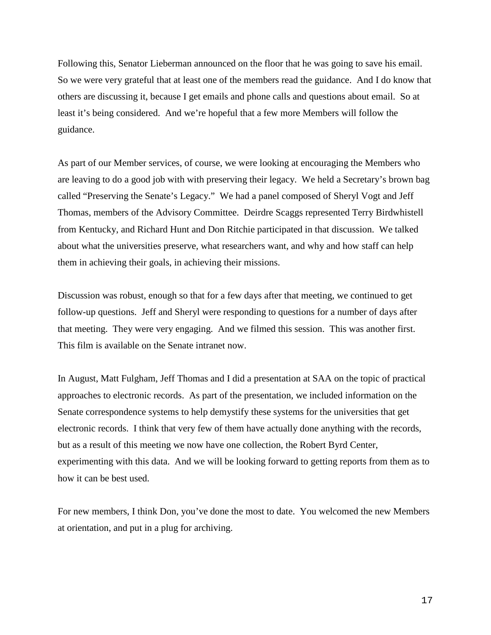Following this, Senator Lieberman announced on the floor that he was going to save his email. So we were very grateful that at least one of the members read the guidance. And I do know that others are discussing it, because I get emails and phone calls and questions about email. So at least it's being considered. And we're hopeful that a few more Members will follow the guidance.

As part of our Member services, of course, we were looking at encouraging the Members who are leaving to do a good job with with preserving their legacy. We held a Secretary's brown bag called "Preserving the Senate's Legacy." We had a panel composed of Sheryl Vogt and Jeff Thomas, members of the Advisory Committee. Deirdre Scaggs represented Terry Birdwhistell from Kentucky, and Richard Hunt and Don Ritchie participated in that discussion. We talked about what the universities preserve, what researchers want, and why and how staff can help them in achieving their goals, in achieving their missions.

Discussion was robust, enough so that for a few days after that meeting, we continued to get follow-up questions. Jeff and Sheryl were responding to questions for a number of days after that meeting. They were very engaging. And we filmed this session. This was another first. This film is available on the Senate intranet now.

In August, Matt Fulgham, Jeff Thomas and I did a presentation at SAA on the topic of practical approaches to electronic records. As part of the presentation, we included information on the Senate correspondence systems to help demystify these systems for the universities that get electronic records. I think that very few of them have actually done anything with the records, but as a result of this meeting we now have one collection, the Robert Byrd Center, experimenting with this data. And we will be looking forward to getting reports from them as to how it can be best used.

For new members, I think Don, you've done the most to date. You welcomed the new Members at orientation, and put in a plug for archiving.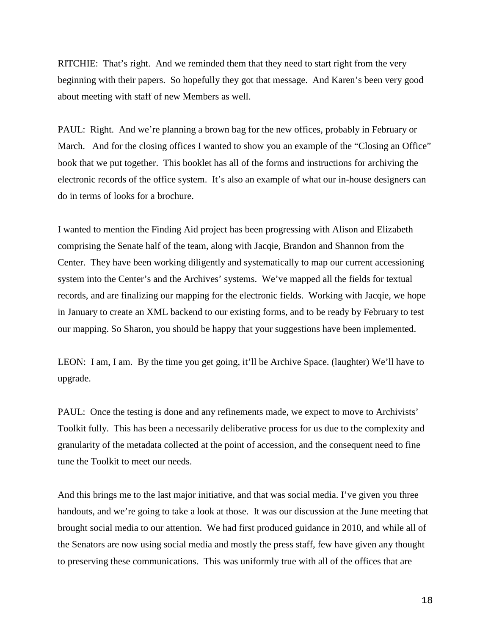RITCHIE: That's right. And we reminded them that they need to start right from the very beginning with their papers. So hopefully they got that message. And Karen's been very good about meeting with staff of new Members as well.

PAUL: Right. And we're planning a brown bag for the new offices, probably in February or March. And for the closing offices I wanted to show you an example of the "Closing an Office" book that we put together. This booklet has all of the forms and instructions for archiving the electronic records of the office system. It's also an example of what our in-house designers can do in terms of looks for a brochure.

I wanted to mention the Finding Aid project has been progressing with Alison and Elizabeth comprising the Senate half of the team, along with Jacqie, Brandon and Shannon from the Center. They have been working diligently and systematically to map our current accessioning system into the Center's and the Archives' systems. We've mapped all the fields for textual records, and are finalizing our mapping for the electronic fields. Working with Jacqie, we hope in January to create an XML backend to our existing forms, and to be ready by February to test our mapping. So Sharon, you should be happy that your suggestions have been implemented.

LEON: I am, I am. By the time you get going, it'll be Archive Space. (laughter) We'll have to upgrade.

PAUL: Once the testing is done and any refinements made, we expect to move to Archivists' Toolkit fully. This has been a necessarily deliberative process for us due to the complexity and granularity of the metadata collected at the point of accession, and the consequent need to fine tune the Toolkit to meet our needs.

And this brings me to the last major initiative, and that was social media. I've given you three handouts, and we're going to take a look at those. It was our discussion at the June meeting that brought social media to our attention. We had first produced guidance in 2010, and while all of the Senators are now using social media and mostly the press staff, few have given any thought to preserving these communications. This was uniformly true with all of the offices that are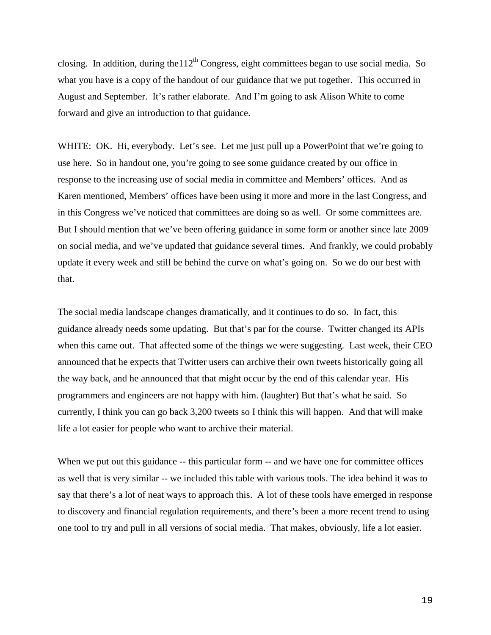closing. In addition, during the  $112<sup>th</sup>$  Congress, eight committees began to use social media. So what you have is a copy of the handout of our guidance that we put together. This occurred in August and September. It's rather elaborate. And I'm going to ask Alison White to come forward and give an introduction to that guidance.

WHITE: OK. Hi, everybody. Let's see. Let me just pull up a PowerPoint that we're going to use here. So in handout one, you're going to see some guidance created by our office in response to the increasing use of social media in committee and Members' offices. And as Karen mentioned, Members' offices have been using it more and more in the last Congress, and in this Congress we've noticed that committees are doing so as well. Or some committees are. But I should mention that we've been offering guidance in some form or another since late 2009 on social media, and we've updated that guidance several times. And frankly, we could probably update it every week and still be behind the curve on what's going on. So we do our best with that.

The social media landscape changes dramatically, and it continues to do so. In fact, this guidance already needs some updating. But that's par for the course. Twitter changed its APIs when this came out. That affected some of the things we were suggesting. Last week, their CEO announced that he expects that Twitter users can archive their own tweets historically going all the way back, and he announced that that might occur by the end of this calendar year. His programmers and engineers are not happy with him. (laughter) But that's what he said. So currently, I think you can go back 3,200 tweets so I think this will happen. And that will make life a lot easier for people who want to archive their material.

When we put out this guidance -- this particular form -- and we have one for committee offices as well that is very similar -- we included this table with various tools. The idea behind it was to say that there's a lot of neat ways to approach this. A lot of these tools have emerged in response to discovery and financial regulation requirements, and there's been a more recent trend to using one tool to try and pull in all versions of social media. That makes, obviously, life a lot easier.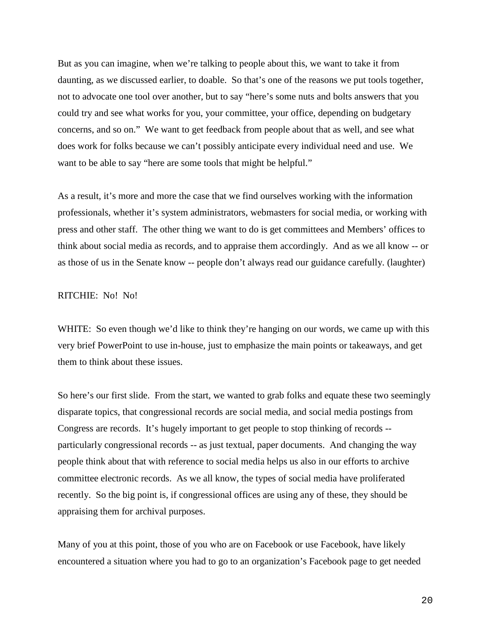But as you can imagine, when we're talking to people about this, we want to take it from daunting, as we discussed earlier, to doable. So that's one of the reasons we put tools together, not to advocate one tool over another, but to say "here's some nuts and bolts answers that you could try and see what works for you, your committee, your office, depending on budgetary concerns, and so on." We want to get feedback from people about that as well, and see what does work for folks because we can't possibly anticipate every individual need and use. We want to be able to say "here are some tools that might be helpful."

As a result, it's more and more the case that we find ourselves working with the information professionals, whether it's system administrators, webmasters for social media, or working with press and other staff. The other thing we want to do is get committees and Members' offices to think about social media as records, and to appraise them accordingly. And as we all know -- or as those of us in the Senate know -- people don't always read our guidance carefully. (laughter)

## RITCHIE: No! No!

WHITE: So even though we'd like to think they're hanging on our words, we came up with this very brief PowerPoint to use in-house, just to emphasize the main points or takeaways, and get them to think about these issues.

So here's our first slide. From the start, we wanted to grab folks and equate these two seemingly disparate topics, that congressional records are social media, and social media postings from Congress are records. It's hugely important to get people to stop thinking of records - particularly congressional records -- as just textual, paper documents. And changing the way people think about that with reference to social media helps us also in our efforts to archive committee electronic records. As we all know, the types of social media have proliferated recently. So the big point is, if congressional offices are using any of these, they should be appraising them for archival purposes.

Many of you at this point, those of you who are on Facebook or use Facebook, have likely encountered a situation where you had to go to an organization's Facebook page to get needed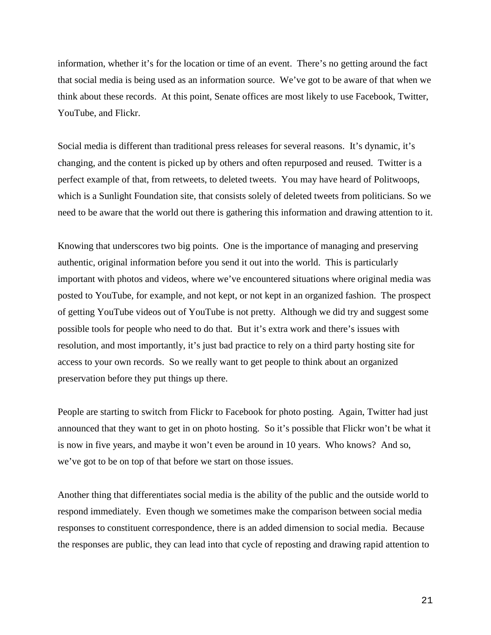information, whether it's for the location or time of an event. There's no getting around the fact that social media is being used as an information source. We've got to be aware of that when we think about these records. At this point, Senate offices are most likely to use Facebook, Twitter, YouTube, and Flickr.

Social media is different than traditional press releases for several reasons. It's dynamic, it's changing, and the content is picked up by others and often repurposed and reused. Twitter is a perfect example of that, from retweets, to deleted tweets. You may have heard of Politwoops, which is a Sunlight Foundation site, that consists solely of deleted tweets from politicians. So we need to be aware that the world out there is gathering this information and drawing attention to it.

Knowing that underscores two big points. One is the importance of managing and preserving authentic, original information before you send it out into the world. This is particularly important with photos and videos, where we've encountered situations where original media was posted to YouTube, for example, and not kept, or not kept in an organized fashion. The prospect of getting YouTube videos out of YouTube is not pretty. Although we did try and suggest some possible tools for people who need to do that. But it's extra work and there's issues with resolution, and most importantly, it's just bad practice to rely on a third party hosting site for access to your own records. So we really want to get people to think about an organized preservation before they put things up there.

People are starting to switch from Flickr to Facebook for photo posting. Again, Twitter had just announced that they want to get in on photo hosting. So it's possible that Flickr won't be what it is now in five years, and maybe it won't even be around in 10 years. Who knows? And so, we've got to be on top of that before we start on those issues.

Another thing that differentiates social media is the ability of the public and the outside world to respond immediately. Even though we sometimes make the comparison between social media responses to constituent correspondence, there is an added dimension to social media. Because the responses are public, they can lead into that cycle of reposting and drawing rapid attention to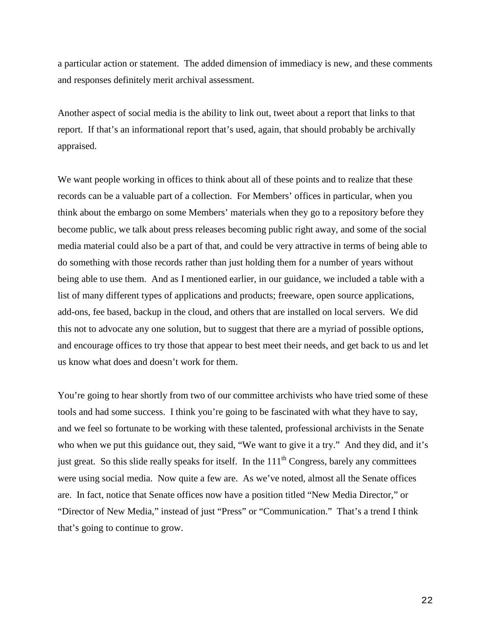a particular action or statement. The added dimension of immediacy is new, and these comments and responses definitely merit archival assessment.

Another aspect of social media is the ability to link out, tweet about a report that links to that report. If that's an informational report that's used, again, that should probably be archivally appraised.

We want people working in offices to think about all of these points and to realize that these records can be a valuable part of a collection. For Members' offices in particular, when you think about the embargo on some Members' materials when they go to a repository before they become public, we talk about press releases becoming public right away, and some of the social media material could also be a part of that, and could be very attractive in terms of being able to do something with those records rather than just holding them for a number of years without being able to use them. And as I mentioned earlier, in our guidance, we included a table with a list of many different types of applications and products; freeware, open source applications, add-ons, fee based, backup in the cloud, and others that are installed on local servers. We did this not to advocate any one solution, but to suggest that there are a myriad of possible options, and encourage offices to try those that appear to best meet their needs, and get back to us and let us know what does and doesn't work for them.

You're going to hear shortly from two of our committee archivists who have tried some of these tools and had some success. I think you're going to be fascinated with what they have to say, and we feel so fortunate to be working with these talented, professional archivists in the Senate who when we put this guidance out, they said, "We want to give it a try." And they did, and it's just great. So this slide really speaks for itself. In the  $111<sup>th</sup>$  Congress, barely any committees were using social media. Now quite a few are. As we've noted, almost all the Senate offices are. In fact, notice that Senate offices now have a position titled "New Media Director," or "Director of New Media," instead of just "Press" or "Communication." That's a trend I think that's going to continue to grow.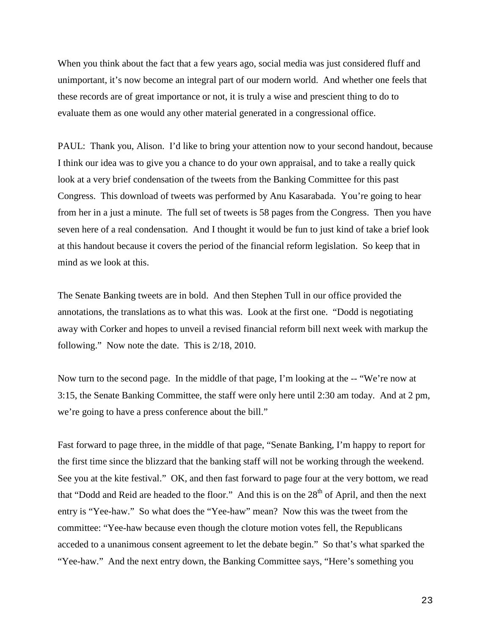When you think about the fact that a few years ago, social media was just considered fluff and unimportant, it's now become an integral part of our modern world. And whether one feels that these records are of great importance or not, it is truly a wise and prescient thing to do to evaluate them as one would any other material generated in a congressional office.

PAUL: Thank you, Alison. I'd like to bring your attention now to your second handout, because I think our idea was to give you a chance to do your own appraisal, and to take a really quick look at a very brief condensation of the tweets from the Banking Committee for this past Congress. This download of tweets was performed by Anu Kasarabada. You're going to hear from her in a just a minute. The full set of tweets is 58 pages from the Congress. Then you have seven here of a real condensation. And I thought it would be fun to just kind of take a brief look at this handout because it covers the period of the financial reform legislation. So keep that in mind as we look at this.

The Senate Banking tweets are in bold. And then Stephen Tull in our office provided the annotations, the translations as to what this was. Look at the first one. "Dodd is negotiating away with Corker and hopes to unveil a revised financial reform bill next week with markup the following." Now note the date. This is 2/18, 2010.

Now turn to the second page. In the middle of that page, I'm looking at the -- "We're now at 3:15, the Senate Banking Committee, the staff were only here until 2:30 am today. And at 2 pm, we're going to have a press conference about the bill."

Fast forward to page three, in the middle of that page, "Senate Banking, I'm happy to report for the first time since the blizzard that the banking staff will not be working through the weekend. See you at the kite festival." OK, and then fast forward to page four at the very bottom, we read that "Dodd and Reid are headed to the floor." And this is on the  $28<sup>th</sup>$  of April, and then the next entry is "Yee-haw." So what does the "Yee-haw" mean? Now this was the tweet from the committee: "Yee-haw because even though the cloture motion votes fell, the Republicans acceded to a unanimous consent agreement to let the debate begin." So that's what sparked the "Yee-haw." And the next entry down, the Banking Committee says, "Here's something you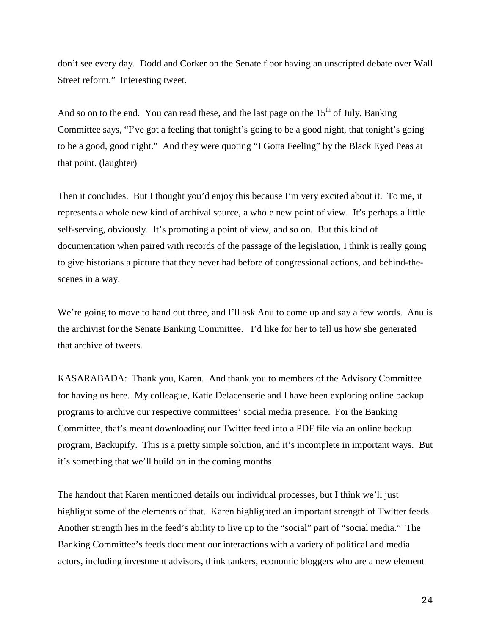don't see every day. Dodd and Corker on the Senate floor having an unscripted debate over Wall Street reform." Interesting tweet.

And so on to the end. You can read these, and the last page on the  $15<sup>th</sup>$  of July, Banking Committee says, "I've got a feeling that tonight's going to be a good night, that tonight's going to be a good, good night." And they were quoting "I Gotta Feeling" by the Black Eyed Peas at that point. (laughter)

Then it concludes. But I thought you'd enjoy this because I'm very excited about it. To me, it represents a whole new kind of archival source, a whole new point of view. It's perhaps a little self-serving, obviously. It's promoting a point of view, and so on. But this kind of documentation when paired with records of the passage of the legislation, I think is really going to give historians a picture that they never had before of congressional actions, and behind-thescenes in a way.

We're going to move to hand out three, and I'll ask Anu to come up and say a few words. Anu is the archivist for the Senate Banking Committee. I'd like for her to tell us how she generated that archive of tweets.

KASARABADA: Thank you, Karen. And thank you to members of the Advisory Committee for having us here. My colleague, Katie Delacenserie and I have been exploring online backup programs to archive our respective committees' social media presence. For the Banking Committee, that's meant downloading our Twitter feed into a PDF file via an online backup program, Backupify. This is a pretty simple solution, and it's incomplete in important ways. But it's something that we'll build on in the coming months.

The handout that Karen mentioned details our individual processes, but I think we'll just highlight some of the elements of that. Karen highlighted an important strength of Twitter feeds. Another strength lies in the feed's ability to live up to the "social" part of "social media." The Banking Committee's feeds document our interactions with a variety of political and media actors, including investment advisors, think tankers, economic bloggers who are a new element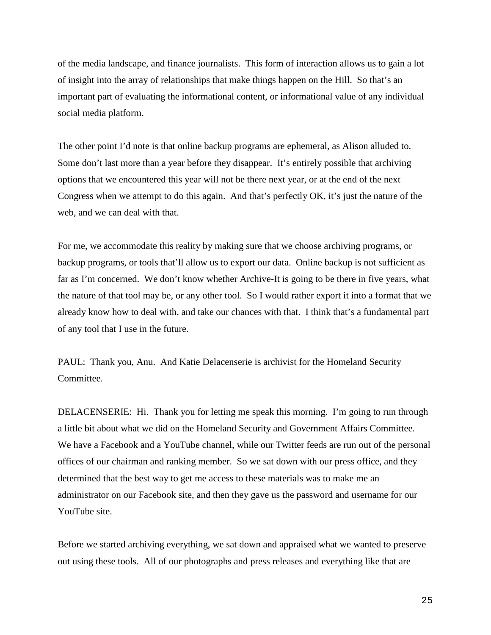of the media landscape, and finance journalists. This form of interaction allows us to gain a lot of insight into the array of relationships that make things happen on the Hill. So that's an important part of evaluating the informational content, or informational value of any individual social media platform.

The other point I'd note is that online backup programs are ephemeral, as Alison alluded to. Some don't last more than a year before they disappear. It's entirely possible that archiving options that we encountered this year will not be there next year, or at the end of the next Congress when we attempt to do this again. And that's perfectly OK, it's just the nature of the web, and we can deal with that.

For me, we accommodate this reality by making sure that we choose archiving programs, or backup programs, or tools that'll allow us to export our data. Online backup is not sufficient as far as I'm concerned. We don't know whether Archive-It is going to be there in five years, what the nature of that tool may be, or any other tool. So I would rather export it into a format that we already know how to deal with, and take our chances with that. I think that's a fundamental part of any tool that I use in the future.

PAUL: Thank you, Anu. And Katie Delacenserie is archivist for the Homeland Security Committee.

DELACENSERIE: Hi. Thank you for letting me speak this morning. I'm going to run through a little bit about what we did on the Homeland Security and Government Affairs Committee. We have a Facebook and a YouTube channel, while our Twitter feeds are run out of the personal offices of our chairman and ranking member. So we sat down with our press office, and they determined that the best way to get me access to these materials was to make me an administrator on our Facebook site, and then they gave us the password and username for our YouTube site.

Before we started archiving everything, we sat down and appraised what we wanted to preserve out using these tools. All of our photographs and press releases and everything like that are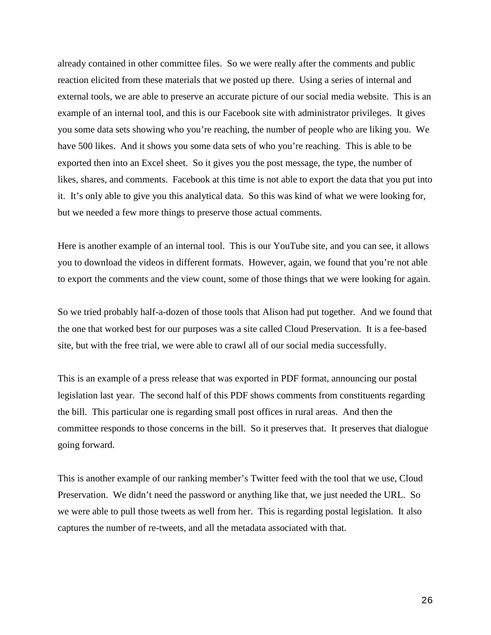already contained in other committee files. So we were really after the comments and public reaction elicited from these materials that we posted up there. Using a series of internal and external tools, we are able to preserve an accurate picture of our social media website. This is an example of an internal tool, and this is our Facebook site with administrator privileges. It gives you some data sets showing who you're reaching, the number of people who are liking you. We have 500 likes. And it shows you some data sets of who you're reaching. This is able to be exported then into an Excel sheet. So it gives you the post message, the type, the number of likes, shares, and comments. Facebook at this time is not able to export the data that you put into it. It's only able to give you this analytical data. So this was kind of what we were looking for, but we needed a few more things to preserve those actual comments.

Here is another example of an internal tool. This is our YouTube site, and you can see, it allows you to download the videos in different formats. However, again, we found that you're not able to export the comments and the view count, some of those things that we were looking for again.

So we tried probably half-a-dozen of those tools that Alison had put together. And we found that the one that worked best for our purposes was a site called Cloud Preservation. It is a fee-based site, but with the free trial, we were able to crawl all of our social media successfully.

This is an example of a press release that was exported in PDF format, announcing our postal legislation last year. The second half of this PDF shows comments from constituents regarding the bill. This particular one is regarding small post offices in rural areas. And then the committee responds to those concerns in the bill. So it preserves that. It preserves that dialogue going forward.

This is another example of our ranking member's Twitter feed with the tool that we use, Cloud Preservation. We didn't need the password or anything like that, we just needed the URL. So we were able to pull those tweets as well from her. This is regarding postal legislation. It also captures the number of re-tweets, and all the metadata associated with that.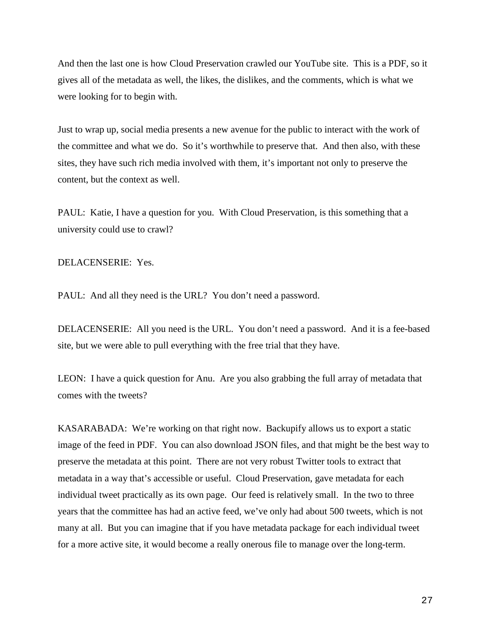And then the last one is how Cloud Preservation crawled our YouTube site. This is a PDF, so it gives all of the metadata as well, the likes, the dislikes, and the comments, which is what we were looking for to begin with.

Just to wrap up, social media presents a new avenue for the public to interact with the work of the committee and what we do. So it's worthwhile to preserve that. And then also, with these sites, they have such rich media involved with them, it's important not only to preserve the content, but the context as well.

PAUL: Katie, I have a question for you. With Cloud Preservation, is this something that a university could use to crawl?

DELACENSERIE: Yes.

PAUL: And all they need is the URL? You don't need a password.

DELACENSERIE: All you need is the URL. You don't need a password. And it is a fee-based site, but we were able to pull everything with the free trial that they have.

LEON: I have a quick question for Anu. Are you also grabbing the full array of metadata that comes with the tweets?

KASARABADA: We're working on that right now. Backupify allows us to export a static image of the feed in PDF. You can also download JSON files, and that might be the best way to preserve the metadata at this point. There are not very robust Twitter tools to extract that metadata in a way that's accessible or useful. Cloud Preservation, gave metadata for each individual tweet practically as its own page. Our feed is relatively small. In the two to three years that the committee has had an active feed, we've only had about 500 tweets, which is not many at all. But you can imagine that if you have metadata package for each individual tweet for a more active site, it would become a really onerous file to manage over the long-term.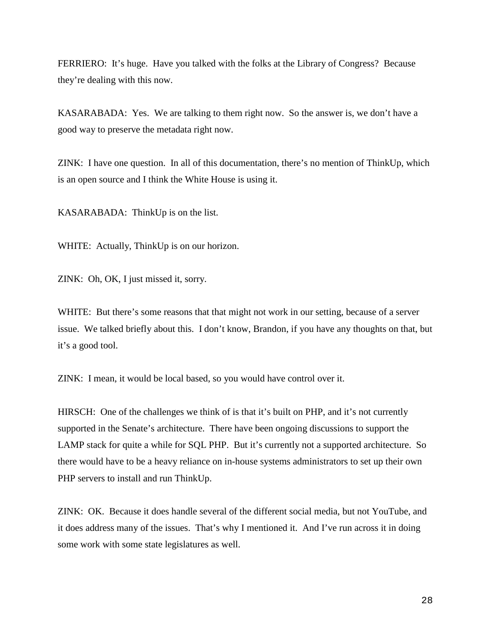FERRIERO: It's huge. Have you talked with the folks at the Library of Congress? Because they're dealing with this now.

KASARABADA: Yes. We are talking to them right now. So the answer is, we don't have a good way to preserve the metadata right now.

ZINK: I have one question. In all of this documentation, there's no mention of ThinkUp, which is an open source and I think the White House is using it.

KASARABADA: ThinkUp is on the list.

WHITE: Actually, ThinkUp is on our horizon.

ZINK: Oh, OK, I just missed it, sorry.

WHITE: But there's some reasons that that might not work in our setting, because of a server issue. We talked briefly about this. I don't know, Brandon, if you have any thoughts on that, but it's a good tool.

ZINK: I mean, it would be local based, so you would have control over it.

HIRSCH: One of the challenges we think of is that it's built on PHP, and it's not currently supported in the Senate's architecture. There have been ongoing discussions to support the LAMP stack for quite a while for SQL PHP. But it's currently not a supported architecture. So there would have to be a heavy reliance on in-house systems administrators to set up their own PHP servers to install and run ThinkUp.

ZINK: OK. Because it does handle several of the different social media, but not YouTube, and it does address many of the issues. That's why I mentioned it. And I've run across it in doing some work with some state legislatures as well.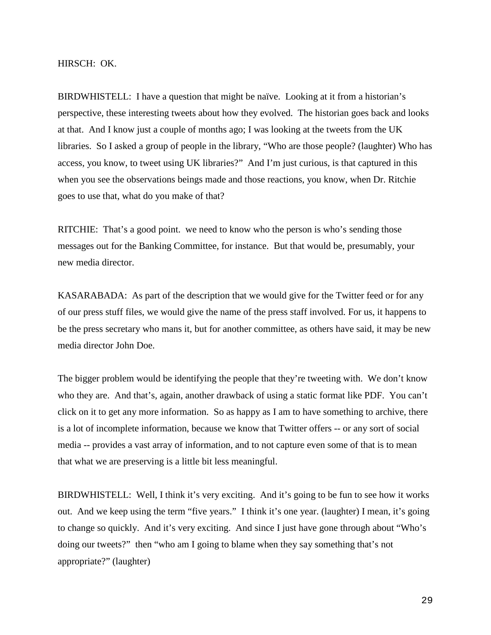HIRSCH: OK.

BIRDWHISTELL: I have a question that might be naïve. Looking at it from a historian's perspective, these interesting tweets about how they evolved. The historian goes back and looks at that. And I know just a couple of months ago; I was looking at the tweets from the UK libraries. So I asked a group of people in the library, "Who are those people? (laughter) Who has access, you know, to tweet using UK libraries?" And I'm just curious, is that captured in this when you see the observations beings made and those reactions, you know, when Dr. Ritchie goes to use that, what do you make of that?

RITCHIE: That's a good point. we need to know who the person is who's sending those messages out for the Banking Committee, for instance. But that would be, presumably, your new media director.

KASARABADA: As part of the description that we would give for the Twitter feed or for any of our press stuff files, we would give the name of the press staff involved. For us, it happens to be the press secretary who mans it, but for another committee, as others have said, it may be new media director John Doe.

The bigger problem would be identifying the people that they're tweeting with. We don't know who they are. And that's, again, another drawback of using a static format like PDF. You can't click on it to get any more information. So as happy as I am to have something to archive, there is a lot of incomplete information, because we know that Twitter offers -- or any sort of social media -- provides a vast array of information, and to not capture even some of that is to mean that what we are preserving is a little bit less meaningful.

BIRDWHISTELL: Well, I think it's very exciting. And it's going to be fun to see how it works out. And we keep using the term "five years." I think it's one year. (laughter) I mean, it's going to change so quickly. And it's very exciting. And since I just have gone through about "Who's doing our tweets?" then "who am I going to blame when they say something that's not appropriate?" (laughter)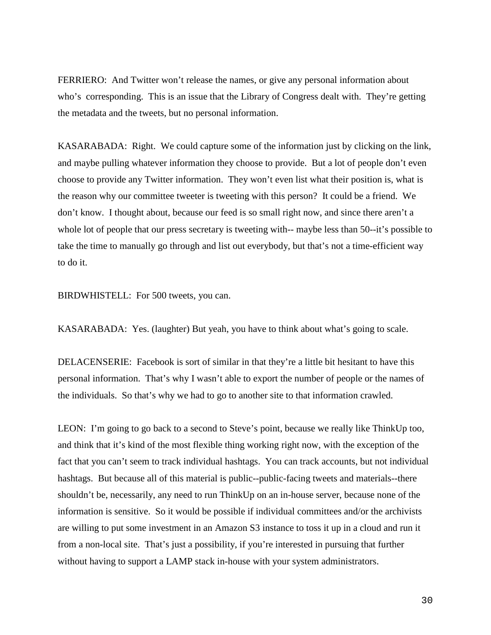FERRIERO: And Twitter won't release the names, or give any personal information about who's corresponding. This is an issue that the Library of Congress dealt with. They're getting the metadata and the tweets, but no personal information.

KASARABADA: Right. We could capture some of the information just by clicking on the link, and maybe pulling whatever information they choose to provide. But a lot of people don't even choose to provide any Twitter information. They won't even list what their position is, what is the reason why our committee tweeter is tweeting with this person? It could be a friend. We don't know. I thought about, because our feed is so small right now, and since there aren't a whole lot of people that our press secretary is tweeting with-- maybe less than 50--it's possible to take the time to manually go through and list out everybody, but that's not a time-efficient way to do it.

BIRDWHISTELL: For 500 tweets, you can.

KASARABADA: Yes. (laughter) But yeah, you have to think about what's going to scale.

DELACENSERIE: Facebook is sort of similar in that they're a little bit hesitant to have this personal information. That's why I wasn't able to export the number of people or the names of the individuals. So that's why we had to go to another site to that information crawled.

LEON: I'm going to go back to a second to Steve's point, because we really like ThinkUp too, and think that it's kind of the most flexible thing working right now, with the exception of the fact that you can't seem to track individual hashtags. You can track accounts, but not individual hashtags. But because all of this material is public--public-facing tweets and materials--there shouldn't be, necessarily, any need to run ThinkUp on an in-house server, because none of the information is sensitive. So it would be possible if individual committees and/or the archivists are willing to put some investment in an Amazon S3 instance to toss it up in a cloud and run it from a non-local site. That's just a possibility, if you're interested in pursuing that further without having to support a LAMP stack in-house with your system administrators.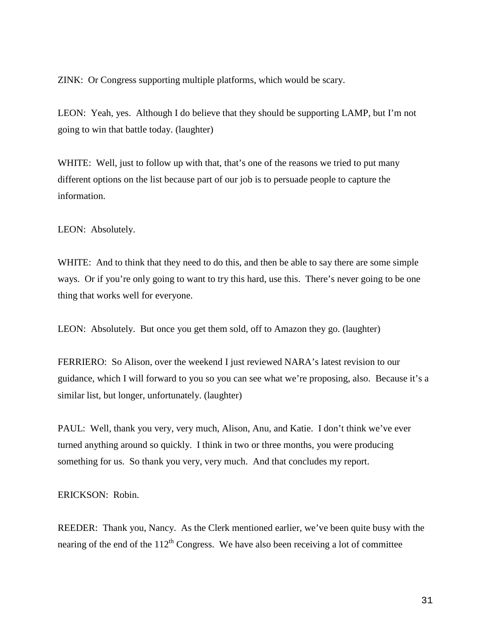ZINK: Or Congress supporting multiple platforms, which would be scary.

LEON: Yeah, yes. Although I do believe that they should be supporting LAMP, but I'm not going to win that battle today. (laughter)

WHITE: Well, just to follow up with that, that's one of the reasons we tried to put many different options on the list because part of our job is to persuade people to capture the information.

LEON: Absolutely.

WHITE: And to think that they need to do this, and then be able to say there are some simple ways. Or if you're only going to want to try this hard, use this. There's never going to be one thing that works well for everyone.

LEON: Absolutely. But once you get them sold, off to Amazon they go. (laughter)

FERRIERO: So Alison, over the weekend I just reviewed NARA's latest revision to our guidance, which I will forward to you so you can see what we're proposing, also. Because it's a similar list, but longer, unfortunately. (laughter)

PAUL: Well, thank you very, very much, Alison, Anu, and Katie. I don't think we've ever turned anything around so quickly. I think in two or three months, you were producing something for us. So thank you very, very much. And that concludes my report.

ERICKSON: Robin.

REEDER: Thank you, Nancy. As the Clerk mentioned earlier, we've been quite busy with the nearing of the end of the  $112<sup>th</sup>$  Congress. We have also been receiving a lot of committee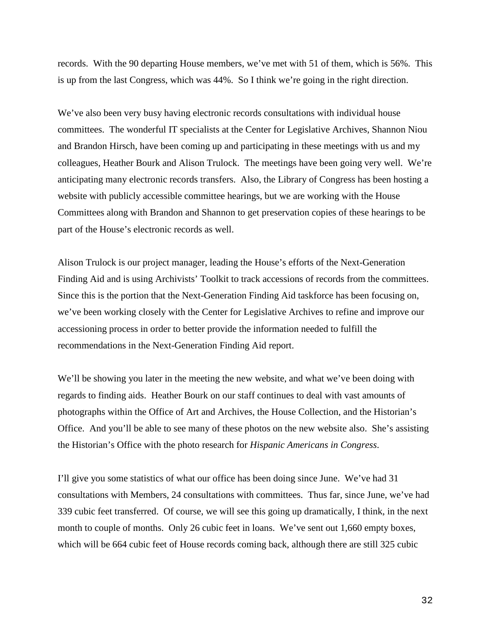records. With the 90 departing House members, we've met with 51 of them, which is 56%. This is up from the last Congress, which was 44%. So I think we're going in the right direction.

We've also been very busy having electronic records consultations with individual house committees. The wonderful IT specialists at the Center for Legislative Archives, Shannon Niou and Brandon Hirsch, have been coming up and participating in these meetings with us and my colleagues, Heather Bourk and Alison Trulock. The meetings have been going very well. We're anticipating many electronic records transfers. Also, the Library of Congress has been hosting a website with publicly accessible committee hearings, but we are working with the House Committees along with Brandon and Shannon to get preservation copies of these hearings to be part of the House's electronic records as well.

Alison Trulock is our project manager, leading the House's efforts of the Next-Generation Finding Aid and is using Archivists' Toolkit to track accessions of records from the committees. Since this is the portion that the Next-Generation Finding Aid taskforce has been focusing on, we've been working closely with the Center for Legislative Archives to refine and improve our accessioning process in order to better provide the information needed to fulfill the recommendations in the Next-Generation Finding Aid report.

We'll be showing you later in the meeting the new website, and what we've been doing with regards to finding aids. Heather Bourk on our staff continues to deal with vast amounts of photographs within the Office of Art and Archives, the House Collection, and the Historian's Office. And you'll be able to see many of these photos on the new website also. She's assisting the Historian's Office with the photo research for *Hispanic Americans in Congress*.

I'll give you some statistics of what our office has been doing since June. We've had 31 consultations with Members, 24 consultations with committees. Thus far, since June, we've had 339 cubic feet transferred. Of course, we will see this going up dramatically, I think, in the next month to couple of months. Only 26 cubic feet in loans. We've sent out 1,660 empty boxes, which will be 664 cubic feet of House records coming back, although there are still 325 cubic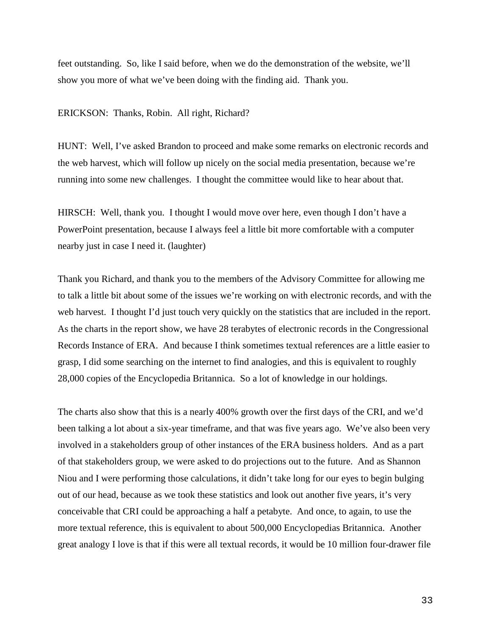feet outstanding. So, like I said before, when we do the demonstration of the website, we'll show you more of what we've been doing with the finding aid. Thank you.

#### ERICKSON: Thanks, Robin. All right, Richard?

HUNT: Well, I've asked Brandon to proceed and make some remarks on electronic records and the web harvest, which will follow up nicely on the social media presentation, because we're running into some new challenges. I thought the committee would like to hear about that.

HIRSCH: Well, thank you. I thought I would move over here, even though I don't have a PowerPoint presentation, because I always feel a little bit more comfortable with a computer nearby just in case I need it. (laughter)

Thank you Richard, and thank you to the members of the Advisory Committee for allowing me to talk a little bit about some of the issues we're working on with electronic records, and with the web harvest. I thought I'd just touch very quickly on the statistics that are included in the report. As the charts in the report show, we have 28 terabytes of electronic records in the Congressional Records Instance of ERA. And because I think sometimes textual references are a little easier to grasp, I did some searching on the internet to find analogies, and this is equivalent to roughly 28,000 copies of the Encyclopedia Britannica. So a lot of knowledge in our holdings.

The charts also show that this is a nearly 400% growth over the first days of the CRI, and we'd been talking a lot about a six-year timeframe, and that was five years ago. We've also been very involved in a stakeholders group of other instances of the ERA business holders. And as a part of that stakeholders group, we were asked to do projections out to the future. And as Shannon Niou and I were performing those calculations, it didn't take long for our eyes to begin bulging out of our head, because as we took these statistics and look out another five years, it's very conceivable that CRI could be approaching a half a petabyte. And once, to again, to use the more textual reference, this is equivalent to about 500,000 Encyclopedias Britannica. Another great analogy I love is that if this were all textual records, it would be 10 million four-drawer file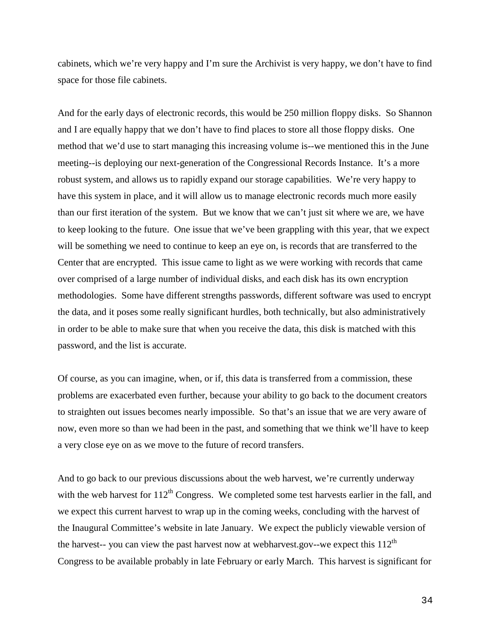cabinets, which we're very happy and I'm sure the Archivist is very happy, we don't have to find space for those file cabinets.

And for the early days of electronic records, this would be 250 million floppy disks. So Shannon and I are equally happy that we don't have to find places to store all those floppy disks. One method that we'd use to start managing this increasing volume is--we mentioned this in the June meeting--is deploying our next-generation of the Congressional Records Instance. It's a more robust system, and allows us to rapidly expand our storage capabilities. We're very happy to have this system in place, and it will allow us to manage electronic records much more easily than our first iteration of the system. But we know that we can't just sit where we are, we have to keep looking to the future. One issue that we've been grappling with this year, that we expect will be something we need to continue to keep an eye on, is records that are transferred to the Center that are encrypted. This issue came to light as we were working with records that came over comprised of a large number of individual disks, and each disk has its own encryption methodologies. Some have different strengths passwords, different software was used to encrypt the data, and it poses some really significant hurdles, both technically, but also administratively in order to be able to make sure that when you receive the data, this disk is matched with this password, and the list is accurate.

Of course, as you can imagine, when, or if, this data is transferred from a commission, these problems are exacerbated even further, because your ability to go back to the document creators to straighten out issues becomes nearly impossible. So that's an issue that we are very aware of now, even more so than we had been in the past, and something that we think we'll have to keep a very close eye on as we move to the future of record transfers.

And to go back to our previous discussions about the web harvest, we're currently underway with the web harvest for  $112<sup>th</sup>$  Congress. We completed some test harvests earlier in the fall, and we expect this current harvest to wrap up in the coming weeks, concluding with the harvest of the Inaugural Committee's website in late January. We expect the publicly viewable version of the harvest-- you can view the past harvest now at webharvest.gov--we expect this  $112<sup>th</sup>$ Congress to be available probably in late February or early March. This harvest is significant for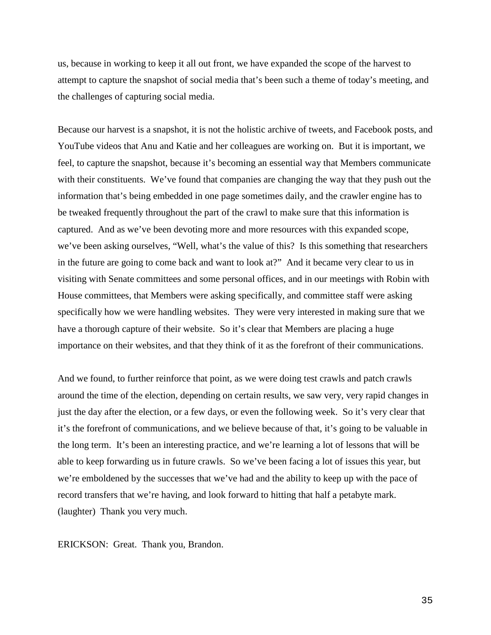us, because in working to keep it all out front, we have expanded the scope of the harvest to attempt to capture the snapshot of social media that's been such a theme of today's meeting, and the challenges of capturing social media.

Because our harvest is a snapshot, it is not the holistic archive of tweets, and Facebook posts, and YouTube videos that Anu and Katie and her colleagues are working on. But it is important, we feel, to capture the snapshot, because it's becoming an essential way that Members communicate with their constituents. We've found that companies are changing the way that they push out the information that's being embedded in one page sometimes daily, and the crawler engine has to be tweaked frequently throughout the part of the crawl to make sure that this information is captured. And as we've been devoting more and more resources with this expanded scope, we've been asking ourselves, "Well, what's the value of this? Is this something that researchers in the future are going to come back and want to look at?" And it became very clear to us in visiting with Senate committees and some personal offices, and in our meetings with Robin with House committees, that Members were asking specifically, and committee staff were asking specifically how we were handling websites. They were very interested in making sure that we have a thorough capture of their website. So it's clear that Members are placing a huge importance on their websites, and that they think of it as the forefront of their communications.

And we found, to further reinforce that point, as we were doing test crawls and patch crawls around the time of the election, depending on certain results, we saw very, very rapid changes in just the day after the election, or a few days, or even the following week. So it's very clear that it's the forefront of communications, and we believe because of that, it's going to be valuable in the long term. It's been an interesting practice, and we're learning a lot of lessons that will be able to keep forwarding us in future crawls. So we've been facing a lot of issues this year, but we're emboldened by the successes that we've had and the ability to keep up with the pace of record transfers that we're having, and look forward to hitting that half a petabyte mark. (laughter) Thank you very much.

ERICKSON: Great. Thank you, Brandon.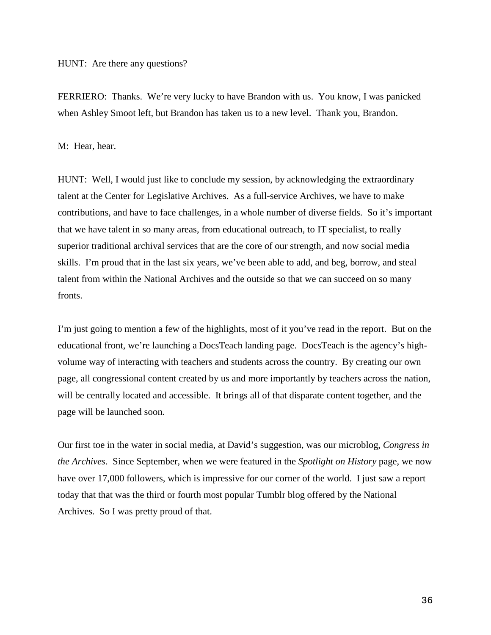FERRIERO: Thanks. We're very lucky to have Brandon with us. You know, I was panicked when Ashley Smoot left, but Brandon has taken us to a new level. Thank you, Brandon.

### M: Hear, hear.

HUNT: Well, I would just like to conclude my session, by acknowledging the extraordinary talent at the Center for Legislative Archives. As a full-service Archives, we have to make contributions, and have to face challenges, in a whole number of diverse fields. So it's important that we have talent in so many areas, from educational outreach, to IT specialist, to really superior traditional archival services that are the core of our strength, and now social media skills. I'm proud that in the last six years, we've been able to add, and beg, borrow, and steal talent from within the National Archives and the outside so that we can succeed on so many fronts.

I'm just going to mention a few of the highlights, most of it you've read in the report. But on the educational front, we're launching a DocsTeach landing page. DocsTeach is the agency's highvolume way of interacting with teachers and students across the country. By creating our own page, all congressional content created by us and more importantly by teachers across the nation, will be centrally located and accessible. It brings all of that disparate content together, and the page will be launched soon.

Our first toe in the water in social media, at David's suggestion, was our microblog, *Congress in the Archives*. Since September, when we were featured in the *Spotlight on History* page, we now have over 17,000 followers, which is impressive for our corner of the world. I just saw a report today that that was the third or fourth most popular Tumblr blog offered by the National Archives. So I was pretty proud of that.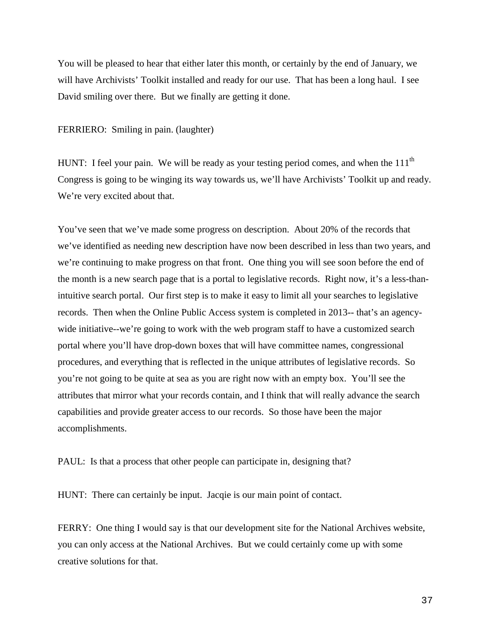You will be pleased to hear that either later this month, or certainly by the end of January, we will have Archivists' Toolkit installed and ready for our use. That has been a long haul. I see David smiling over there. But we finally are getting it done.

FERRIERO: Smiling in pain. (laughter)

HUNT: I feel your pain. We will be ready as your testing period comes, and when the  $111<sup>th</sup>$ Congress is going to be winging its way towards us, we'll have Archivists' Toolkit up and ready. We're very excited about that.

You've seen that we've made some progress on description. About 20% of the records that we've identified as needing new description have now been described in less than two years, and we're continuing to make progress on that front. One thing you will see soon before the end of the month is a new search page that is a portal to legislative records. Right now, it's a less-thanintuitive search portal. Our first step is to make it easy to limit all your searches to legislative records. Then when the Online Public Access system is completed in 2013-- that's an agencywide initiative--we're going to work with the web program staff to have a customized search portal where you'll have drop-down boxes that will have committee names, congressional procedures, and everything that is reflected in the unique attributes of legislative records. So you're not going to be quite at sea as you are right now with an empty box. You'll see the attributes that mirror what your records contain, and I think that will really advance the search capabilities and provide greater access to our records. So those have been the major accomplishments.

PAUL: Is that a process that other people can participate in, designing that?

HUNT: There can certainly be input. Jacqie is our main point of contact.

FERRY: One thing I would say is that our development site for the National Archives website, you can only access at the National Archives. But we could certainly come up with some creative solutions for that.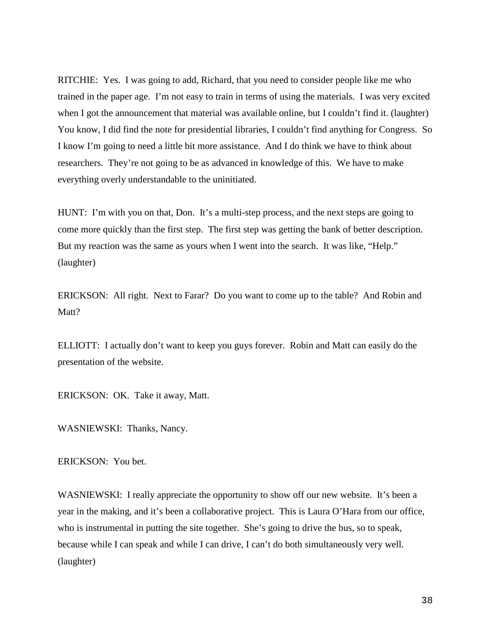RITCHIE: Yes. I was going to add, Richard, that you need to consider people like me who trained in the paper age. I'm not easy to train in terms of using the materials. I was very excited when I got the announcement that material was available online, but I couldn't find it. (laughter) You know, I did find the note for presidential libraries, I couldn't find anything for Congress. So I know I'm going to need a little bit more assistance. And I do think we have to think about researchers. They're not going to be as advanced in knowledge of this. We have to make everything overly understandable to the uninitiated.

HUNT: I'm with you on that, Don. It's a multi-step process, and the next steps are going to come more quickly than the first step. The first step was getting the bank of better description. But my reaction was the same as yours when I went into the search. It was like, "Help." (laughter)

ERICKSON: All right. Next to Farar? Do you want to come up to the table? And Robin and Matt?

ELLIOTT: I actually don't want to keep you guys forever. Robin and Matt can easily do the presentation of the website.

ERICKSON: OK. Take it away, Matt.

WASNIEWSKI: Thanks, Nancy.

ERICKSON: You bet.

WASNIEWSKI: I really appreciate the opportunity to show off our new website. It's been a year in the making, and it's been a collaborative project. This is Laura O'Hara from our office, who is instrumental in putting the site together. She's going to drive the bus, so to speak, because while I can speak and while I can drive, I can't do both simultaneously very well. (laughter)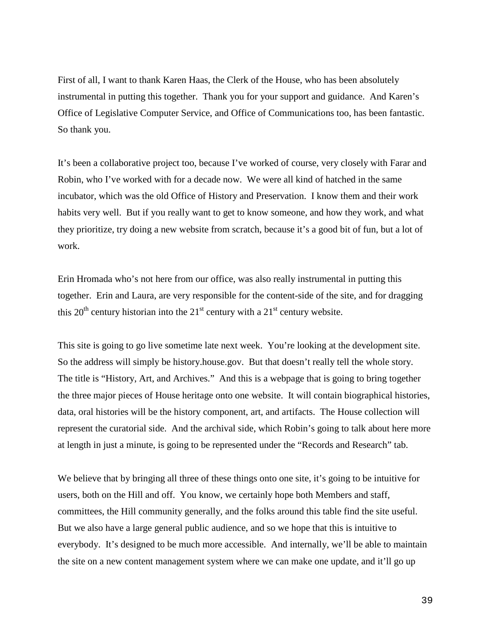First of all, I want to thank Karen Haas, the Clerk of the House, who has been absolutely instrumental in putting this together. Thank you for your support and guidance. And Karen's Office of Legislative Computer Service, and Office of Communications too, has been fantastic. So thank you.

It's been a collaborative project too, because I've worked of course, very closely with Farar and Robin, who I've worked with for a decade now. We were all kind of hatched in the same incubator, which was the old Office of History and Preservation. I know them and their work habits very well. But if you really want to get to know someone, and how they work, and what they prioritize, try doing a new website from scratch, because it's a good bit of fun, but a lot of work.

Erin Hromada who's not here from our office, was also really instrumental in putting this together. Erin and Laura, are very responsible for the content-side of the site, and for dragging this  $20<sup>th</sup>$  century historian into the  $21<sup>st</sup>$  century with a  $21<sup>st</sup>$  century website.

This site is going to go live sometime late next week. You're looking at the development site. So the address will simply be history.house.gov. But that doesn't really tell the whole story. The title is "History, Art, and Archives." And this is a webpage that is going to bring together the three major pieces of House heritage onto one website. It will contain biographical histories, data, oral histories will be the history component, art, and artifacts. The House collection will represent the curatorial side. And the archival side, which Robin's going to talk about here more at length in just a minute, is going to be represented under the "Records and Research" tab.

We believe that by bringing all three of these things onto one site, it's going to be intuitive for users, both on the Hill and off. You know, we certainly hope both Members and staff, committees, the Hill community generally, and the folks around this table find the site useful. But we also have a large general public audience, and so we hope that this is intuitive to everybody. It's designed to be much more accessible. And internally, we'll be able to maintain the site on a new content management system where we can make one update, and it'll go up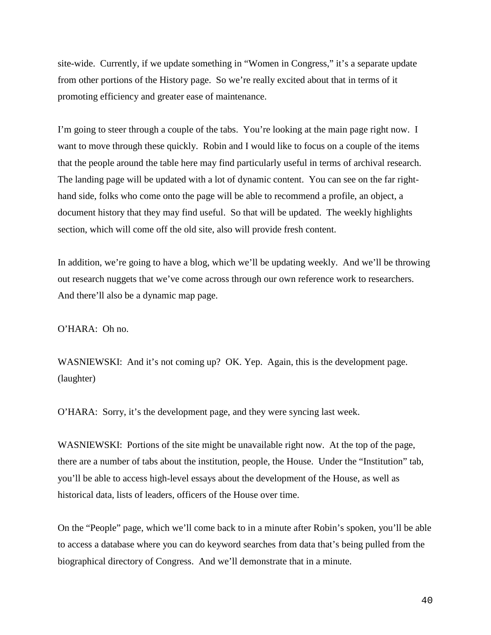site-wide. Currently, if we update something in "Women in Congress," it's a separate update from other portions of the History page. So we're really excited about that in terms of it promoting efficiency and greater ease of maintenance.

I'm going to steer through a couple of the tabs. You're looking at the main page right now. I want to move through these quickly. Robin and I would like to focus on a couple of the items that the people around the table here may find particularly useful in terms of archival research. The landing page will be updated with a lot of dynamic content. You can see on the far righthand side, folks who come onto the page will be able to recommend a profile, an object, a document history that they may find useful. So that will be updated. The weekly highlights section, which will come off the old site, also will provide fresh content.

In addition, we're going to have a blog, which we'll be updating weekly. And we'll be throwing out research nuggets that we've come across through our own reference work to researchers. And there'll also be a dynamic map page.

O'HARA: Oh no.

WASNIEWSKI: And it's not coming up? OK. Yep. Again, this is the development page. (laughter)

O'HARA: Sorry, it's the development page, and they were syncing last week.

WASNIEWSKI: Portions of the site might be unavailable right now. At the top of the page, there are a number of tabs about the institution, people, the House. Under the "Institution" tab, you'll be able to access high-level essays about the development of the House, as well as historical data, lists of leaders, officers of the House over time.

On the "People" page, which we'll come back to in a minute after Robin's spoken, you'll be able to access a database where you can do keyword searches from data that's being pulled from the biographical directory of Congress. And we'll demonstrate that in a minute.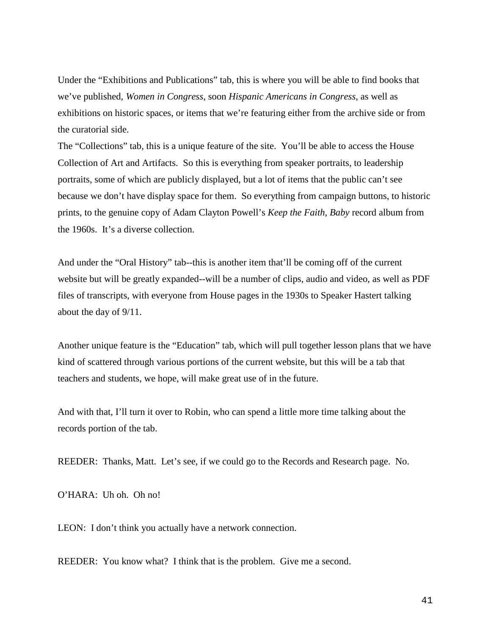Under the "Exhibitions and Publications" tab, this is where you will be able to find books that we've published, *Women in Congress*, soon *Hispanic Americans in Congress*, as well as exhibitions on historic spaces, or items that we're featuring either from the archive side or from the curatorial side.

The "Collections" tab, this is a unique feature of the site. You'll be able to access the House Collection of Art and Artifacts. So this is everything from speaker portraits, to leadership portraits, some of which are publicly displayed, but a lot of items that the public can't see because we don't have display space for them. So everything from campaign buttons, to historic prints, to the genuine copy of Adam Clayton Powell's *Keep the Faith, Baby* record album from the 1960s. It's a diverse collection.

And under the "Oral History" tab--this is another item that'll be coming off of the current website but will be greatly expanded--will be a number of clips, audio and video, as well as PDF files of transcripts, with everyone from House pages in the 1930s to Speaker Hastert talking about the day of 9/11.

Another unique feature is the "Education" tab, which will pull together lesson plans that we have kind of scattered through various portions of the current website, but this will be a tab that teachers and students, we hope, will make great use of in the future.

And with that, I'll turn it over to Robin, who can spend a little more time talking about the records portion of the tab.

REEDER: Thanks, Matt. Let's see, if we could go to the Records and Research page. No.

O'HARA: Uh oh. Oh no!

LEON: I don't think you actually have a network connection.

REEDER: You know what? I think that is the problem. Give me a second.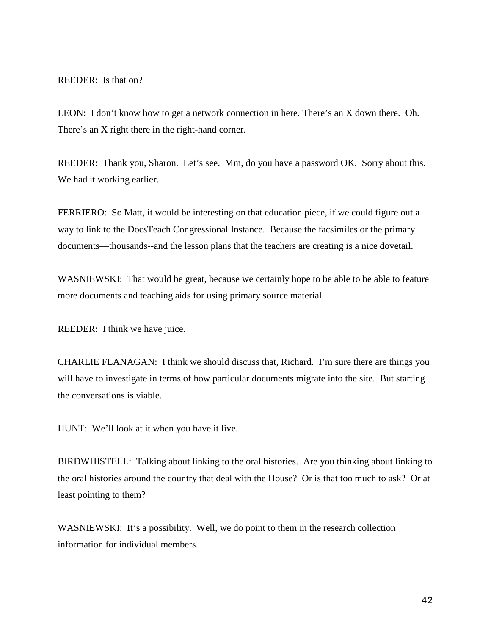REEDER: Is that on?

LEON: I don't know how to get a network connection in here. There's an X down there. Oh. There's an X right there in the right-hand corner.

REEDER: Thank you, Sharon. Let's see. Mm, do you have a password OK. Sorry about this. We had it working earlier.

FERRIERO: So Matt, it would be interesting on that education piece, if we could figure out a way to link to the DocsTeach Congressional Instance. Because the facsimiles or the primary documents—thousands--and the lesson plans that the teachers are creating is a nice dovetail.

WASNIEWSKI: That would be great, because we certainly hope to be able to be able to feature more documents and teaching aids for using primary source material.

REEDER: I think we have juice.

CHARLIE FLANAGAN: I think we should discuss that, Richard. I'm sure there are things you will have to investigate in terms of how particular documents migrate into the site. But starting the conversations is viable.

HUNT: We'll look at it when you have it live.

BIRDWHISTELL: Talking about linking to the oral histories. Are you thinking about linking to the oral histories around the country that deal with the House? Or is that too much to ask? Or at least pointing to them?

WASNIEWSKI: It's a possibility. Well, we do point to them in the research collection information for individual members.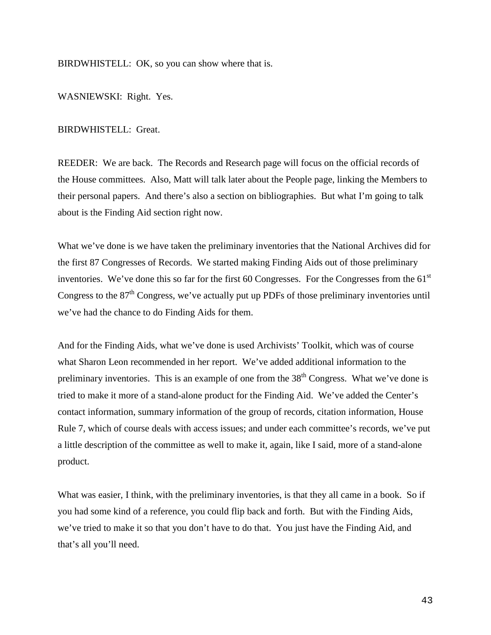BIRDWHISTELL: OK, so you can show where that is.

WASNIEWSKI: Right. Yes.

BIRDWHISTELL: Great.

REEDER: We are back. The Records and Research page will focus on the official records of the House committees. Also, Matt will talk later about the People page, linking the Members to their personal papers. And there's also a section on bibliographies. But what I'm going to talk about is the Finding Aid section right now.

What we've done is we have taken the preliminary inventories that the National Archives did for the first 87 Congresses of Records. We started making Finding Aids out of those preliminary inventories. We've done this so far for the first 60 Congresses. For the Congresses from the  $61<sup>st</sup>$ Congress to the  $87<sup>th</sup>$  Congress, we've actually put up PDFs of those preliminary inventories until we've had the chance to do Finding Aids for them.

And for the Finding Aids, what we've done is used Archivists' Toolkit, which was of course what Sharon Leon recommended in her report. We've added additional information to the preliminary inventories. This is an example of one from the  $38<sup>th</sup>$  Congress. What we've done is tried to make it more of a stand-alone product for the Finding Aid. We've added the Center's contact information, summary information of the group of records, citation information, House Rule 7, which of course deals with access issues; and under each committee's records, we've put a little description of the committee as well to make it, again, like I said, more of a stand-alone product.

What was easier, I think, with the preliminary inventories, is that they all came in a book. So if you had some kind of a reference, you could flip back and forth. But with the Finding Aids, we've tried to make it so that you don't have to do that. You just have the Finding Aid, and that's all you'll need.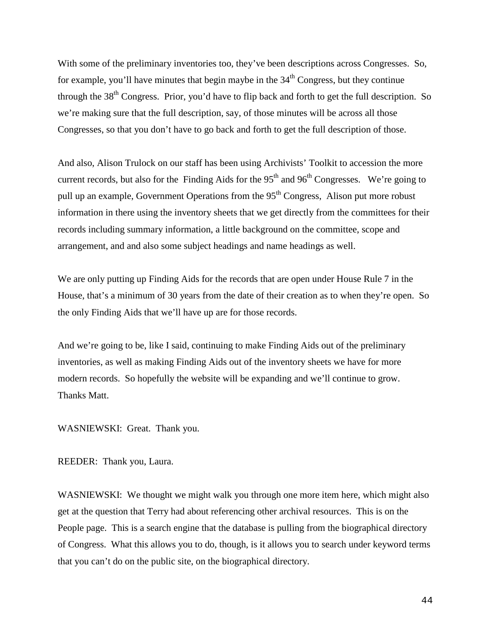With some of the preliminary inventories too, they've been descriptions across Congresses. So, for example, you'll have minutes that begin maybe in the  $34<sup>th</sup>$  Congress, but they continue through the  $38<sup>th</sup>$  Congress. Prior, you'd have to flip back and forth to get the full description. So we're making sure that the full description, say, of those minutes will be across all those Congresses, so that you don't have to go back and forth to get the full description of those.

And also, Alison Trulock on our staff has been using Archivists' Toolkit to accession the more current records, but also for the Finding Aids for the  $95<sup>th</sup>$  and  $96<sup>th</sup>$  Congresses. We're going to pull up an example, Government Operations from the 95<sup>th</sup> Congress, Alison put more robust information in there using the inventory sheets that we get directly from the committees for their records including summary information, a little background on the committee, scope and arrangement, and and also some subject headings and name headings as well.

We are only putting up Finding Aids for the records that are open under House Rule 7 in the House, that's a minimum of 30 years from the date of their creation as to when they're open. So the only Finding Aids that we'll have up are for those records.

And we're going to be, like I said, continuing to make Finding Aids out of the preliminary inventories, as well as making Finding Aids out of the inventory sheets we have for more modern records. So hopefully the website will be expanding and we'll continue to grow. Thanks Matt.

WASNIEWSKI: Great. Thank you.

REEDER: Thank you, Laura.

WASNIEWSKI: We thought we might walk you through one more item here, which might also get at the question that Terry had about referencing other archival resources. This is on the People page. This is a search engine that the database is pulling from the biographical directory of Congress. What this allows you to do, though, is it allows you to search under keyword terms that you can't do on the public site, on the biographical directory.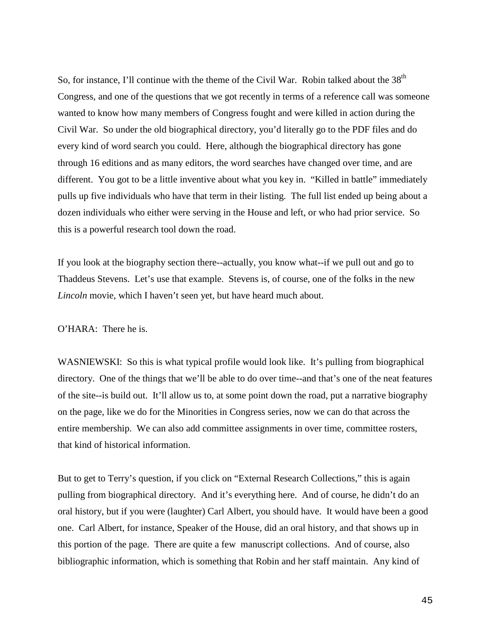So, for instance, I'll continue with the theme of the Civil War. Robin talked about the  $38<sup>th</sup>$ Congress, and one of the questions that we got recently in terms of a reference call was someone wanted to know how many members of Congress fought and were killed in action during the Civil War. So under the old biographical directory, you'd literally go to the PDF files and do every kind of word search you could. Here, although the biographical directory has gone through 16 editions and as many editors, the word searches have changed over time, and are different. You got to be a little inventive about what you key in. "Killed in battle" immediately pulls up five individuals who have that term in their listing. The full list ended up being about a dozen individuals who either were serving in the House and left, or who had prior service. So this is a powerful research tool down the road.

If you look at the biography section there--actually, you know what--if we pull out and go to Thaddeus Stevens. Let's use that example. Stevens is, of course, one of the folks in the new *Lincoln* movie, which I haven't seen yet, but have heard much about.

O'HARA: There he is.

WASNIEWSKI: So this is what typical profile would look like. It's pulling from biographical directory. One of the things that we'll be able to do over time--and that's one of the neat features of the site--is build out. It'll allow us to, at some point down the road, put a narrative biography on the page, like we do for the Minorities in Congress series, now we can do that across the entire membership. We can also add committee assignments in over time, committee rosters, that kind of historical information.

But to get to Terry's question, if you click on "External Research Collections," this is again pulling from biographical directory. And it's everything here. And of course, he didn't do an oral history, but if you were (laughter) Carl Albert, you should have. It would have been a good one. Carl Albert, for instance, Speaker of the House, did an oral history, and that shows up in this portion of the page. There are quite a few manuscript collections. And of course, also bibliographic information, which is something that Robin and her staff maintain. Any kind of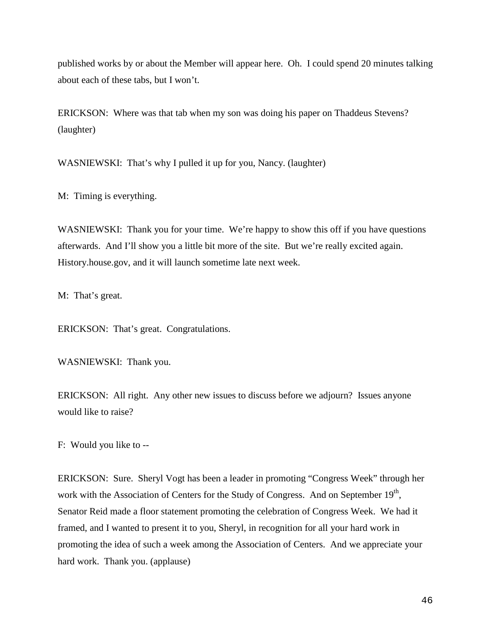published works by or about the Member will appear here. Oh. I could spend 20 minutes talking about each of these tabs, but I won't.

ERICKSON: Where was that tab when my son was doing his paper on Thaddeus Stevens? (laughter)

WASNIEWSKI: That's why I pulled it up for you, Nancy. (laughter)

M: Timing is everything.

WASNIEWSKI: Thank you for your time. We're happy to show this off if you have questions afterwards. And I'll show you a little bit more of the site. But we're really excited again. History.house.gov, and it will launch sometime late next week.

M: That's great.

ERICKSON: That's great. Congratulations.

WASNIEWSKI: Thank you.

ERICKSON: All right. Any other new issues to discuss before we adjourn? Issues anyone would like to raise?

F: Would you like to --

ERICKSON: Sure. Sheryl Vogt has been a leader in promoting "Congress Week" through her work with the Association of Centers for the Study of Congress. And on September  $19<sup>th</sup>$ , Senator Reid made a floor statement promoting the celebration of Congress Week. We had it framed, and I wanted to present it to you, Sheryl, in recognition for all your hard work in promoting the idea of such a week among the Association of Centers. And we appreciate your hard work. Thank you. (applause)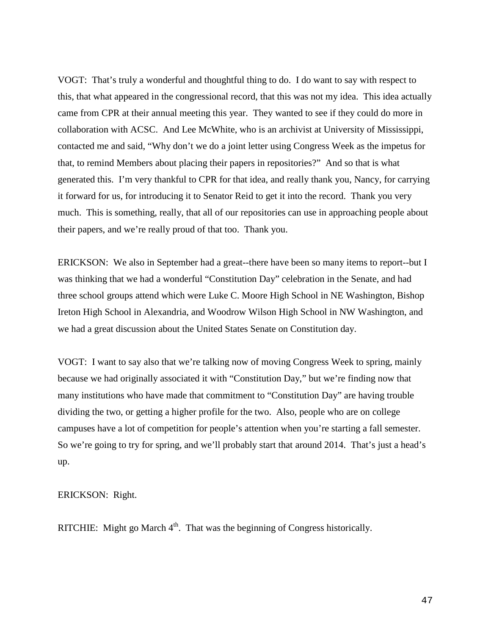VOGT: That's truly a wonderful and thoughtful thing to do. I do want to say with respect to this, that what appeared in the congressional record, that this was not my idea. This idea actually came from CPR at their annual meeting this year. They wanted to see if they could do more in collaboration with ACSC. And Lee McWhite, who is an archivist at University of Mississippi, contacted me and said, "Why don't we do a joint letter using Congress Week as the impetus for that, to remind Members about placing their papers in repositories?" And so that is what generated this. I'm very thankful to CPR for that idea, and really thank you, Nancy, for carrying it forward for us, for introducing it to Senator Reid to get it into the record. Thank you very much. This is something, really, that all of our repositories can use in approaching people about their papers, and we're really proud of that too. Thank you.

ERICKSON: We also in September had a great--there have been so many items to report--but I was thinking that we had a wonderful "Constitution Day" celebration in the Senate, and had three school groups attend which were Luke C. Moore High School in NE Washington, Bishop Ireton High School in Alexandria, and Woodrow Wilson High School in NW Washington, and we had a great discussion about the United States Senate on Constitution day.

VOGT: I want to say also that we're talking now of moving Congress Week to spring, mainly because we had originally associated it with "Constitution Day," but we're finding now that many institutions who have made that commitment to "Constitution Day" are having trouble dividing the two, or getting a higher profile for the two. Also, people who are on college campuses have a lot of competition for people's attention when you're starting a fall semester. So we're going to try for spring, and we'll probably start that around 2014. That's just a head's up.

ERICKSON: Right.

RITCHIE: Might go March  $4<sup>th</sup>$ . That was the beginning of Congress historically.